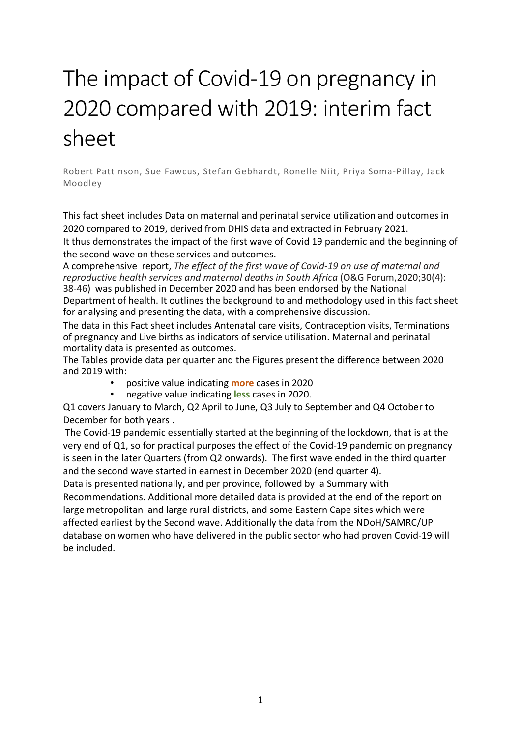# The impact of Covid-19 on pregnancy in 2020 compared with 2019: interim fact sheet

Robert Pattinson, Sue Fawcus, Stefan Gebhardt, Ronelle Niit, Priya Soma-Pillay, Jack Moodley

This fact sheet includes Data on maternal and perinatal service utilization and outcomes in 2020 compared to 2019, derived from DHIS data and extracted in February 2021. It thus demonstrates the impact of the first wave of Covid 19 pandemic and the beginning of the second wave on these services and outcomes.

A comprehensive report, *The effect of the first wave of Covid-19 on use of maternal and reproductive health services and maternal deaths in South Africa* (O&G Forum,2020;30(4): 38-46) was published in December 2020 and has been endorsed by the National Department of health. It outlines the background to and methodology used in this fact sheet for analysing and presenting the data, with a comprehensive discussion.

The data in this Fact sheet includes Antenatal care visits, Contraception visits, Terminations of pregnancy and Live births as indicators of service utilisation. Maternal and perinatal mortality data is presented as outcomes.

The Tables provide data per quarter and the Figures present the difference between 2020 and 2019 with:

- positive value indicating **more** cases in 2020
- negative value indicating **less** cases in 2020.

Q1 covers January to March, Q2 April to June, Q3 July to September and Q4 October to December for both years .

The Covid-19 pandemic essentially started at the beginning of the lockdown, that is at the very end of Q1, so for practical purposes the effect of the Covid-19 pandemic on pregnancy is seen in the later Quarters (from Q2 onwards). The first wave ended in the third quarter and the second wave started in earnest in December 2020 (end quarter 4).

Data is presented nationally, and per province, followed by a Summary with Recommendations. Additional more detailed data is provided at the end of the report on large metropolitan and large rural districts, and some Eastern Cape sites which were affected earliest by the Second wave. Additionally the data from the NDoH/SAMRC/UP database on women who have delivered in the public sector who had proven Covid-19 will be included.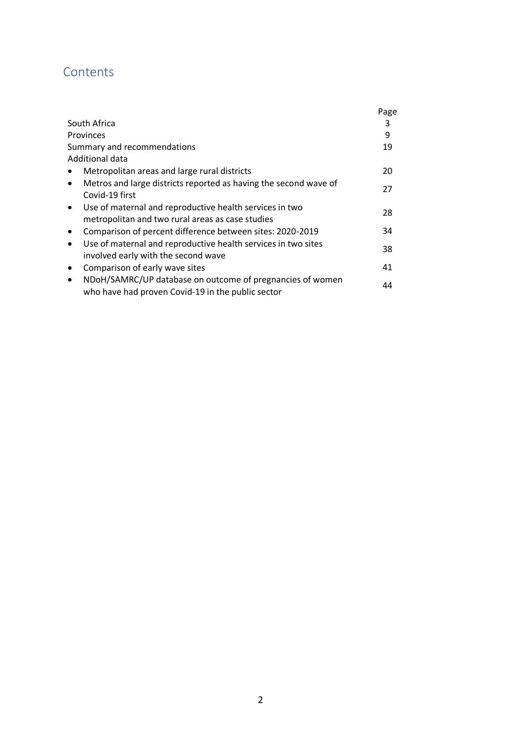### **Contents**

|                                                                                                                             | Page |
|-----------------------------------------------------------------------------------------------------------------------------|------|
| South Africa                                                                                                                | 3    |
| Provinces                                                                                                                   | 9    |
| Summary and recommendations                                                                                                 | 19   |
| Additional data                                                                                                             |      |
| Metropolitan areas and large rural districts                                                                                | 20   |
| Metros and large districts reported as having the second wave of<br>$\bullet$<br>Covid-19 first                             | 27   |
| Use of maternal and reproductive health services in two<br>$\bullet$<br>metropolitan and two rural areas as case studies    | 28   |
| Comparison of percent difference between sites: 2020-2019<br>$\bullet$                                                      | 34   |
| Use of maternal and reproductive health services in two sites<br>$\bullet$<br>involved early with the second wave           | 38   |
| Comparison of early wave sites<br>$\bullet$                                                                                 | 41   |
| NDoH/SAMRC/UP database on outcome of pregnancies of women<br>$\bullet$<br>who have had proven Covid-19 in the public sector | 44   |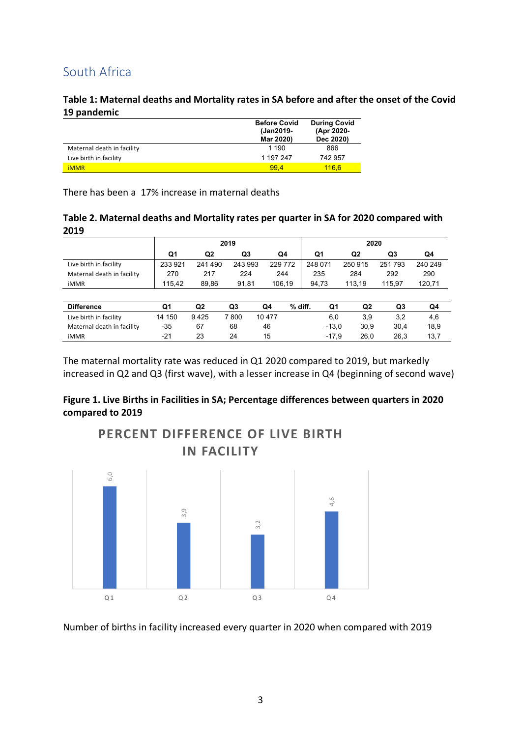### South Africa

#### **Table 1: Maternal deaths and Mortality rates in SA before and after the onset of the Covid 19 pandemic**

|                            | <b>Before Covid</b><br>(Jan2019-<br>Mar 2020) | <b>During Covid</b><br>(Apr 2020-<br>Dec 2020) |
|----------------------------|-----------------------------------------------|------------------------------------------------|
| Maternal death in facility | 1 1 9 0                                       | 866                                            |
| Live birth in facility     | 1 197 247                                     | 742957                                         |
| <b>iMMR</b>                | 99.4                                          | 116.6                                          |

There has been a 17% increase in maternal deaths

| Table 2. Maternal deaths and Mortality rates per quarter in SA for 2020 compared with |  |
|---------------------------------------------------------------------------------------|--|
| 2019                                                                                  |  |

|                            |         | 2019           |                |        |         |         | 2020    |                |        |         |  |  |
|----------------------------|---------|----------------|----------------|--------|---------|---------|---------|----------------|--------|---------|--|--|
|                            | Q1      | Q2             | Q3             |        | Q4      |         | Q1      | Q <sub>2</sub> | Q3     | Q4      |  |  |
| Live birth in facility     | 233 921 | 241490         | 243 993        |        | 229 772 | 248 071 |         | 250 915        | 251793 | 240 249 |  |  |
| Maternal death in facility | 270     | 217            | 224            |        | 244     |         | 235     | 284            | 292    | 290     |  |  |
| <b>iMMR</b>                | 115,42  | 89,86          | 91,81          |        | 106,19  |         | 94,73   | 113.19         | 115.97 | 120,71  |  |  |
|                            |         |                |                |        |         |         |         |                |        |         |  |  |
| <b>Difference</b>          | Q1      | Q <sub>2</sub> | Q <sub>3</sub> | Q4     | % diff. |         | Q1      | Q2             | Q3     | Q4      |  |  |
| Live birth in facility     | 14 150  | 9425           | 7800           | 10 477 |         |         | 6,0     | 3.9            | 3,2    | 4,6     |  |  |
| Maternal death in facility | $-35$   | 67             | 68             | 46     |         |         | $-13,0$ | 30.9           | 30,4   | 18,9    |  |  |
| <b>iMMR</b>                | $-21$   | 23             | 24             | 15     |         |         | $-17,9$ | 26,0           | 26,3   | 13,7    |  |  |

The maternal mortality rate was reduced in Q1 2020 compared to 2019, but markedly increased in Q2 and Q3 (first wave), with a lesser increase in Q4 (beginning of second wave)

### **Figure 1. Live Births in Facilities in SA; Percentage differences between quarters in 2020 compared to 2019**

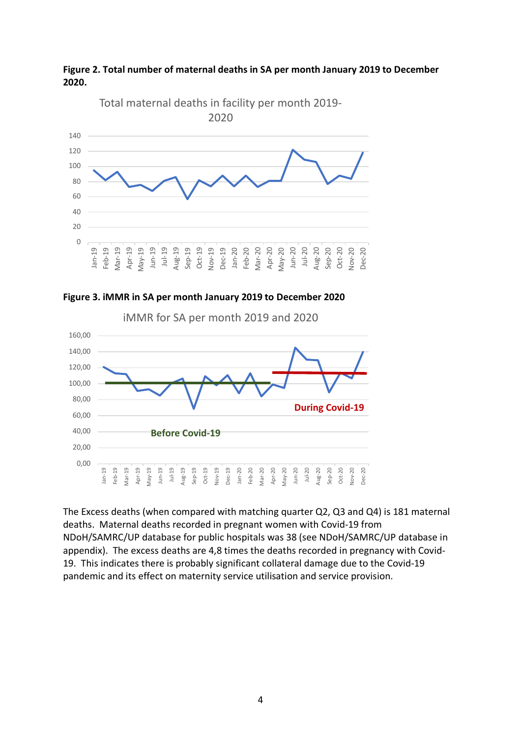







The Excess deaths (when compared with matching quarter Q2, Q3 and Q4) is 181 maternal deaths. Maternal deaths recorded in pregnant women with Covid-19 from NDoH/SAMRC/UP database for public hospitals was 38 (see NDoH/SAMRC/UP database in appendix). The excess deaths are 4,8 times the deaths recorded in pregnancy with Covid-19. This indicates there is probably significant collateral damage due to the Covid-19 pandemic and its effect on maternity service utilisation and service provision.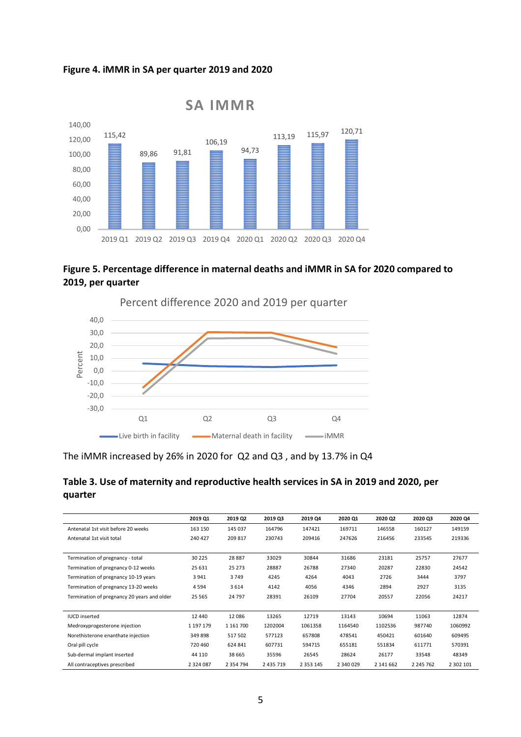#### **Figure 4. iMMR in SA per quarter 2019 and 2020**



### **Figure 5. Percentage difference in maternal deaths and iMMR in SA for 2020 compared to 2019, per quarter**



### The iMMR increased by 26% in 2020 for Q2 and Q3 , and by 13.7% in Q4

### **Table 3. Use of maternity and reproductive health services in SA in 2019 and 2020, per quarter**

|                                             | 2019 Q1       | 2019 Q2       | 2019 Q3       | 2019 Q4       | 2020 Q1   | 2020 Q2   | 2020 Q3   | 2020 Q4   |
|---------------------------------------------|---------------|---------------|---------------|---------------|-----------|-----------|-----------|-----------|
| Antenatal 1st visit before 20 weeks         | 163 150       | 145 037       | 164796        | 147421        | 169711    | 146558    | 160127    | 149159    |
| Antenatal 1st visit total                   | 240 427       | 209 817       | 230743        | 209416        | 247626    | 216456    | 233545    | 219336    |
|                                             |               |               |               |               |           |           |           |           |
| Termination of pregnancy - total            | 30 2 2 5      | 28 8 87       | 33029         | 30844         | 31686     | 23181     | 25757     | 27677     |
| Termination of pregnancy 0-12 weeks         | 25 631        | 25 273        | 28887         | 26788         | 27340     | 20287     | 22830     | 24542     |
| Termination of pregnancy 10-19 years        | 3941          | 3749          | 4245          | 4264          | 4043      | 2726      | 3444      | 3797      |
| Termination of pregnancy 13-20 weeks        | 4594          | 3614          | 4142          | 4056          | 4346      | 2894      | 2927      | 3135      |
| Termination of pregnancy 20 years and older | 25 5 65       | 24 7 9 7      | 28391         | 26109         | 27704     | 20557     | 22056     | 24217     |
|                                             |               |               |               |               |           |           |           |           |
| <b>IUCD</b> inserted                        | 12 440        | 12086         | 13265         | 12719         | 13143     | 10694     | 11063     | 12874     |
| Medroxyprogesterone injection               | 1 197 179     | 1 161 700     | 1202004       | 1061358       | 1164540   | 1102536   | 987740    | 1060992   |
| Norethisterone enanthate injection          | 349 898       | 517 502       | 577123        | 657808        | 478541    | 450421    | 601640    | 609495    |
| Oral pill cycle                             | 720 460       | 624 841       | 607731        | 594715        | 655181    | 551834    | 611771    | 570391    |
| Sub-dermal implant inserted                 | 44 110        | 38 6 65       | 35596         | 26545         | 28624     | 26177     | 33548     | 48349     |
| All contraceptives prescribed               | 2 3 2 4 0 8 7 | 2 3 5 4 7 9 4 | 2 4 3 5 7 1 9 | 2 3 5 3 1 4 5 | 2 340 029 | 2 141 662 | 2 245 762 | 2 302 101 |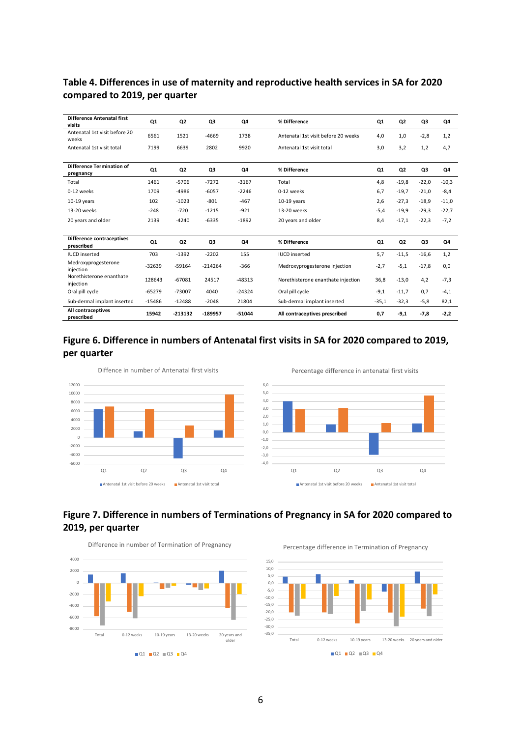### **Table 4. Differences in use of maternity and reproductive health services in SA for 2020 compared to 2019, per quarter**

| <b>Difference Antenatal first</b><br>visits   | Q1       | Q <sub>2</sub> | Q3        | Q4       | % Difference                        | Q1      | Q <sub>2</sub> | Q3      | Q4      |
|-----------------------------------------------|----------|----------------|-----------|----------|-------------------------------------|---------|----------------|---------|---------|
| Antenatal 1st visit before 20<br>weeks        | 6561     | 1521           | $-4669$   | 1738     | Antenatal 1st visit before 20 weeks | 4,0     | 1,0            | $-2,8$  | 1,2     |
| Antenatal 1st visit total                     | 7199     | 6639           | 2802      | 9920     | Antenatal 1st visit total           | 3,0     | 3,2            | 1,2     | 4,7     |
|                                               |          |                |           |          |                                     |         |                |         |         |
| <b>Difference Termination of</b><br>pregnancy | Q1       | Q <sub>2</sub> | Q3        | Q4       | % Difference                        | Q1      | Q <sub>2</sub> | Q3      | Q4      |
| Total                                         | 1461     | $-5706$        | $-7272$   | $-3167$  | Total                               | 4,8     | $-19,8$        | $-22,0$ | $-10,3$ |
| 0-12 weeks                                    | 1709     | $-4986$        | $-6057$   | $-2246$  | 0-12 weeks                          | 6,7     | $-19,7$        | $-21,0$ | $-8,4$  |
| $10-19$ years                                 | 102      | $-1023$        | $-801$    | $-467$   | $10-19$ years                       | 2,6     | $-27,3$        | $-18,9$ | $-11,0$ |
| 13-20 weeks                                   | $-248$   | $-720$         | $-1215$   | $-921$   | 13-20 weeks                         | $-5,4$  | $-19,9$        | $-29,3$ | $-22,7$ |
| 20 years and older                            | 2139     | $-4240$        | $-6335$   | $-1892$  | 20 years and older                  | 8,4     | $-17,1$        | $-22,3$ | $-7,2$  |
|                                               |          |                |           |          |                                     |         |                |         |         |
| Difference contraceptives<br>prescribed       | Q1       | Q <sub>2</sub> | Q3        | Q4       | % Difference                        | Q1      | Q <sub>2</sub> | Q3      | Q4      |
| <b>IUCD</b> inserted                          | 703      | $-1392$        | $-2202$   | 155      | <b>IUCD</b> inserted                | 5,7     | $-11,5$        | $-16,6$ | 1,2     |
| Medroxyprogesterone<br>injection              | -32639   | $-59164$       | $-214264$ | $-366$   | Medroxyprogesterone injection       | $-2,7$  | $-5,1$         | $-17,8$ | 0,0     |
| Norethisterone enanthate<br>injection         | 128643   | $-67081$       | 24517     | $-48313$ | Norethisterone enanthate injection  | 36,8    | $-13,0$        | 4,2     | $-7,3$  |
| Oral pill cycle                               | $-65279$ | $-73007$       | 4040      | $-24324$ | Oral pill cycle                     | $-9,1$  | $-11,7$        | 0,7     | $-4,1$  |
| Sub-dermal implant inserted                   | $-15486$ | $-12488$       | $-2048$   | 21804    | Sub-dermal implant inserted         | $-35,1$ | $-32,3$        | $-5,8$  | 82,1    |
| All contraceptives<br>prescribed              | 15942    | $-213132$      | -189957   | $-51044$ | All contraceptives prescribed       | 0,7     | $-9,1$         | $-7,8$  | $-2,2$  |





### **Figure 7. Difference in numbers of Terminations of Pregnancy in SA for 2020 compared to 2019, per quarter**



Percentage difference in Termination of Pregnancy

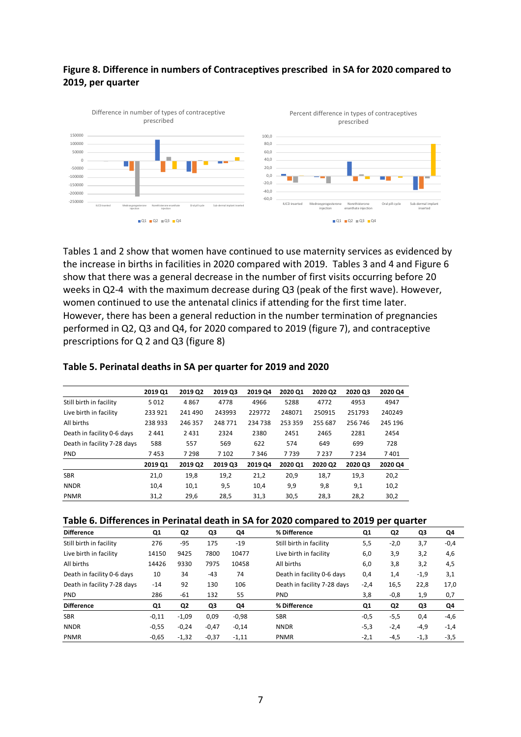### **Figure 8. Difference in numbers of Contraceptives prescribed in SA for 2020 compared to 2019, per quarter**



Tables 1 and 2 show that women have continued to use maternity services as evidenced by the increase in births in facilities in 2020 compared with 2019. Tables 3 and 4 and Figure 6 show that there was a general decrease in the number of first visits occurring before 20 weeks in Q2-4 with the maximum decrease during Q3 (peak of the first wave). However, women continued to use the antenatal clinics if attending for the first time later. However, there has been a general reduction in the number termination of pregnancies performed in Q2, Q3 and Q4, for 2020 compared to 2019 (figure 7), and contraceptive prescriptions for Q 2 and Q3 (figure 8)

|                             | 2019 Q1 | 2019 Q2 | 2019 Q3 | 2019 Q4 | 2020 Q1 | 2020 Q2 | 2020 Q3 | 2020 Q4 |
|-----------------------------|---------|---------|---------|---------|---------|---------|---------|---------|
| Still birth in facility     | 5012    | 4867    | 4778    | 4966    | 5288    | 4772    | 4953    | 4947    |
| Live birth in facility      | 233 921 | 241490  | 243993  | 229772  | 248071  | 250915  | 251793  | 240249  |
| All births                  | 238933  | 246 357 | 248771  | 234 738 | 253 359 | 255 687 | 256 746 | 245 196 |
| Death in facility 0-6 days  | 2441    | 2431    | 2324    | 2380    | 2451    | 2465    | 2281    | 2454    |
| Death in facility 7-28 days | 588     | 557     | 569     | 622     | 574     | 649     | 699     | 728     |
| <b>PND</b>                  | 7453    | 7 2 9 8 | 7 1 0 2 | 7346    | 7739    | 7 2 3 7 | 7 2 3 4 | 7401    |
|                             | 2019 Q1 | 2019 Q2 | 2019 Q3 | 2019 Q4 | 2020 Q1 | 2020 Q2 | 2020 Q3 | 2020 Q4 |
| <b>SBR</b>                  | 21,0    | 19,8    | 19,2    | 21,2    | 20,9    | 18,7    | 19,3    | 20,2    |
| <b>NNDR</b>                 | 10,4    | 10,1    | 9,5     | 10,4    | 9,9     | 9,8     | 9,1     | 10,2    |
| <b>PNMR</b>                 | 31,2    | 29,6    | 28,5    | 31,3    | 30,5    | 28,3    | 28,2    | 30,2    |

#### **Table 5. Perinatal deaths in SA per quarter for 2019 and 2020**

#### **Table 6. Differences in Perinatal death in SA for 2020 compared to 2019 per quarter**

| <b>Difference</b>           | Q1      | Q2      | Q3      | Q4      | % Difference                | Q1     | Q <sub>2</sub> | Q3     | Q4     |
|-----------------------------|---------|---------|---------|---------|-----------------------------|--------|----------------|--------|--------|
| Still birth in facility     | 276     | $-95$   | 175     | $-19$   | Still birth in facility     | 5,5    | $-2,0$         | 3,7    | $-0,4$ |
| Live birth in facility      | 14150   | 9425    | 7800    | 10477   | Live birth in facility      | 6,0    | 3,9            | 3,2    | 4,6    |
| All births                  | 14426   | 9330    | 7975    | 10458   | All births                  | 6,0    | 3,8            | 3,2    | 4,5    |
| Death in facility 0-6 days  | 10      | 34      | $-43$   | 74      | Death in facility 0-6 days  | 0,4    | 1,4            | $-1,9$ | 3,1    |
| Death in facility 7-28 days | $-14$   | 92      | 130     | 106     | Death in facility 7-28 days | $-2,4$ | 16,5           | 22,8   | 17,0   |
| <b>PND</b>                  | 286     | $-61$   | 132     | 55      | <b>PND</b>                  | 3,8    | $-0,8$         | 1,9    | 0,7    |
| <b>Difference</b>           | Q1      | Q2      | Q3      | Q4      | % Difference                | Q1     | Q2             | Q3     | Q4     |
| <b>SBR</b>                  | $-0,11$ | $-1,09$ | 0,09    | $-0,98$ | <b>SBR</b>                  | $-0,5$ | $-5,5$         | 0,4    | $-4,6$ |
| <b>NNDR</b>                 | $-0,55$ | $-0,24$ | $-0,47$ | $-0,14$ | <b>NNDR</b>                 | $-5,3$ | $-2,4$         | $-4,9$ | $-1,4$ |
| <b>PNMR</b>                 | $-0,65$ | $-1,32$ | $-0,37$ | $-1,11$ | <b>PNMR</b>                 | $-2,1$ | $-4,5$         | $-1,3$ | $-3,5$ |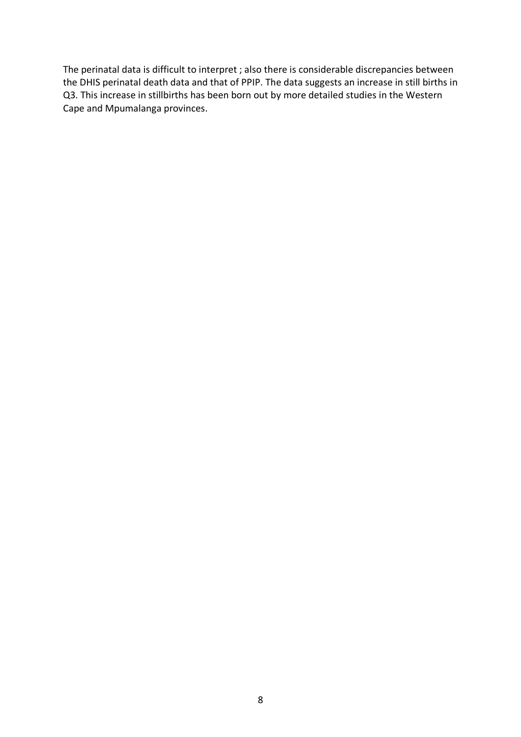The perinatal data is difficult to interpret ; also there is considerable discrepancies between the DHIS perinatal death data and that of PPIP. The data suggests an increase in still births in Q3. This increase in stillbirths has been born out by more detailed studies in the Western Cape and Mpumalanga provinces.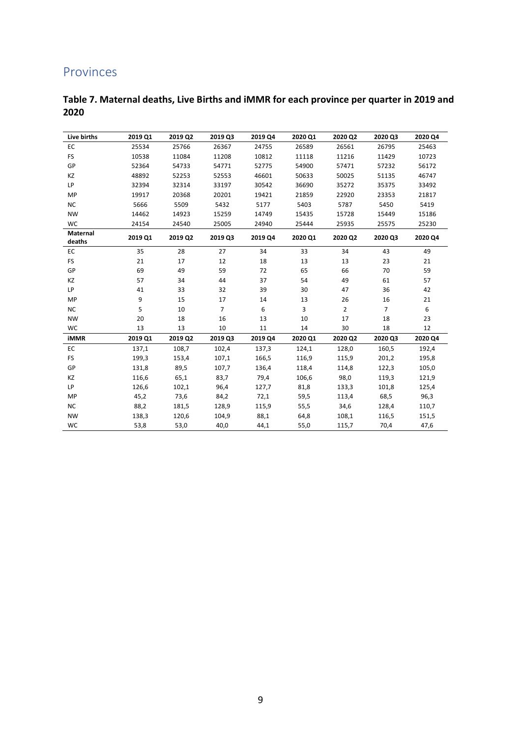### Provinces

| Table 7. Maternal deaths, Live Births and iMMR for each province per quarter in 2019 and |  |
|------------------------------------------------------------------------------------------|--|
| 2020                                                                                     |  |

| Live births               | 2019 Q1 | 2019 Q2 | 2019 Q3        | 2019 Q4 | 2020 Q1 | 2020 Q2        | 2020 Q3        | 2020 Q4 |
|---------------------------|---------|---------|----------------|---------|---------|----------------|----------------|---------|
| EC                        | 25534   | 25766   | 26367          | 24755   | 26589   | 26561          | 26795          | 25463   |
| <b>FS</b>                 | 10538   | 11084   | 11208          | 10812   | 11118   | 11216          | 11429          | 10723   |
| GP                        | 52364   | 54733   | 54771          | 52775   | 54900   | 57471          | 57232          | 56172   |
| KZ                        | 48892   | 52253   | 52553          | 46601   | 50633   | 50025          | 51135          | 46747   |
| LP                        | 32394   | 32314   | 33197          | 30542   | 36690   | 35272          | 35375          | 33492   |
| MP                        | 19917   | 20368   | 20201          | 19421   | 21859   | 22920          | 23353          | 21817   |
| <b>NC</b>                 | 5666    | 5509    | 5432           | 5177    | 5403    | 5787           | 5450           | 5419    |
| <b>NW</b>                 | 14462   | 14923   | 15259          | 14749   | 15435   | 15728          | 15449          | 15186   |
| <b>WC</b>                 | 24154   | 24540   | 25005          | 24940   | 25444   | 25935          | 25575          | 25230   |
| <b>Maternal</b><br>deaths | 2019 Q1 | 2019 Q2 | 2019 Q3        | 2019 Q4 | 2020 Q1 | 2020 Q2        | 2020 Q3        | 2020 Q4 |
| EC                        | 35      | 28      | 27             | 34      | 33      | 34             | 43             | 49      |
| <b>FS</b>                 | 21      | 17      | 12             | 18      | 13      | 13             | 23             | 21      |
| GP                        | 69      | 49      | 59             | 72      | 65      | 66             | 70             | 59      |
| KZ                        | 57      | 34      | 44             | 37      | 54      | 49             | 61             | 57      |
| LP                        | 41      | 33      | 32             | 39      | 30      | 47             | 36             | 42      |
| MP                        | 9       | 15      | 17             | 14      | 13      | 26             | 16             | 21      |
| <b>NC</b>                 | 5       | 10      | $\overline{7}$ | 6       | 3       | $\overline{2}$ | $\overline{7}$ | 6       |
| <b>NW</b>                 | 20      | 18      | 16             | 13      | 10      | 17             | 18             | 23      |
| WC                        | 13      | 13      | 10             | 11      | 14      | 30             | 18             | 12      |
| <b>iMMR</b>               | 2019 Q1 | 2019 Q2 | 2019 Q3        | 2019 Q4 | 2020 Q1 | 2020 Q2        | 2020 Q3        | 2020 Q4 |
| EC                        | 137,1   | 108,7   | 102,4          | 137,3   | 124,1   | 128,0          | 160,5          | 192,4   |
| <b>FS</b>                 | 199,3   | 153,4   | 107,1          | 166,5   | 116,9   | 115,9          | 201,2          | 195,8   |
| GP                        | 131,8   | 89,5    | 107,7          | 136,4   | 118,4   | 114,8          | 122,3          | 105,0   |
| KZ                        | 116,6   | 65,1    | 83,7           | 79,4    | 106,6   | 98,0           | 119,3          | 121,9   |
| <b>LP</b>                 | 126,6   | 102,1   | 96,4           | 127,7   | 81,8    | 133,3          | 101,8          | 125,4   |
| MP                        | 45,2    | 73,6    | 84,2           | 72,1    | 59,5    | 113,4          | 68,5           | 96,3    |
| <b>NC</b>                 | 88,2    | 181,5   | 128,9          | 115,9   | 55,5    | 34,6           | 128,4          | 110,7   |
| <b>NW</b>                 | 138,3   | 120,6   | 104,9          | 88,1    | 64,8    | 108,1          | 116,5          | 151,5   |
| WC                        | 53,8    | 53,0    | 40,0           | 44,1    | 55,0    | 115,7          | 70,4           | 47,6    |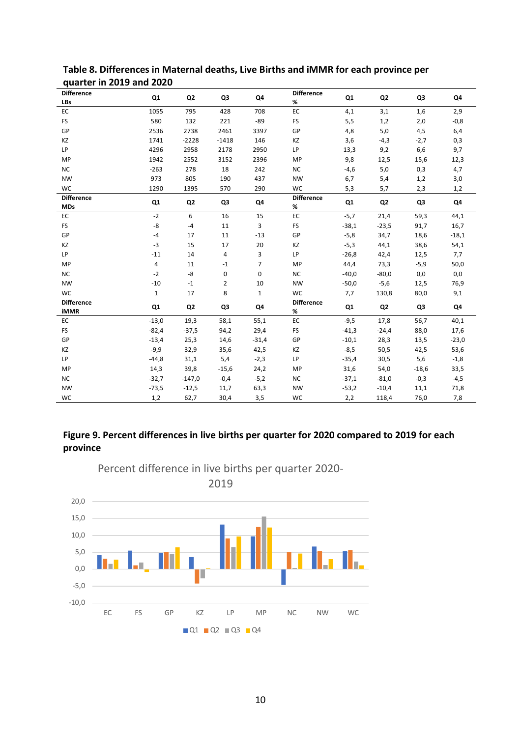| <b>Difference</b><br><b>LBs</b>  | Q1             | Q <sub>2</sub> | Q3             | Q4             | <b>Difference</b><br>% | Q <sub>1</sub> | Q <sub>2</sub> | Q3      | Q4      |
|----------------------------------|----------------|----------------|----------------|----------------|------------------------|----------------|----------------|---------|---------|
| EC                               | 1055           | 795            | 428            | 708            | EC                     | 4,1            | 3,1            | 1,6     | 2,9     |
| <b>FS</b>                        | 580            | 132            | 221            | $-89$          | <b>FS</b>              | 5,5            | 1,2            | 2,0     | $-0,8$  |
| GP                               | 2536           | 2738           | 2461           | 3397           | GP                     | 4,8            | 5,0            | 4,5     | 6,4     |
| KZ                               | 1741           | $-2228$        | $-1418$        | 146            | KZ                     | 3,6            | $-4,3$         | $-2,7$  | 0,3     |
| LP                               | 4296           | 2958           | 2178           | 2950           | LP                     | 13,3           | 9,2            | 6,6     | 9,7     |
| <b>MP</b>                        | 1942           | 2552           | 3152           | 2396           | MP                     | 9,8            | 12,5           | 15,6    | 12,3    |
| NC                               | $-263$         | 278            | 18             | 242            | <b>NC</b>              | $-4,6$         | $5,0$          | 0,3     | 4,7     |
| <b>NW</b>                        | 973            | 805            | 190            | 437            | <b>NW</b>              | 6,7            | 5,4            | 1,2     | 3,0     |
| <b>WC</b>                        | 1290           | 1395           | 570            | 290            | <b>WC</b>              | 5,3            | 5,7            | 2,3     | 1,2     |
| <b>Difference</b><br><b>MDs</b>  | Q1             | Q <sub>2</sub> | Q3             | Q4             | <b>Difference</b><br>% | Q <sub>1</sub> | Q <sub>2</sub> | Q3      | Q4      |
| EC                               | $-2$           | 6              | 16             | 15             | EC                     | $-5,7$         | 21,4           | 59,3    | 44,1    |
| <b>FS</b>                        | -8             | $-4$           | 11             | 3              | <b>FS</b>              | $-38,1$        | $-23,5$        | 91,7    | 16,7    |
| GP                               | $-4$           | 17             | 11             | $-13$          | GP                     | $-5,8$         | 34,7           | 18,6    | $-18,1$ |
| KZ                               | $-3$           | 15             | 17             | 20             | KZ                     | $-5,3$         | 44,1           | 38,6    | 54,1    |
| <b>LP</b>                        | $-11$          | 14             | 4              | 3              | LP                     | $-26,8$        | 42,4           | 12,5    | 7,7     |
| MP                               | $\overline{4}$ | 11             | $-1$           | $\overline{7}$ | <b>MP</b>              | 44,4           | 73,3           | $-5,9$  | 50,0    |
| NC                               | $-2$           | -8             | 0              | 0              | <b>NC</b>              | $-40,0$        | $-80,0$        | 0,0     | 0,0     |
| <b>NW</b>                        | $-10$          | $^{\rm -1}$    | $\overline{2}$ | 10             | <b>NW</b>              | $-50,0$        | $-5,6$         | 12,5    | 76,9    |
| <b>WC</b>                        | $\mathbf{1}$   | 17             | 8              | $\mathbf{1}$   | WC                     | 7,7            | 130,8          | 80,0    | 9,1     |
| <b>Difference</b><br><b>iMMR</b> | Q <sub>1</sub> | Q <sub>2</sub> | Q3             | Q4             | <b>Difference</b><br>% | Q <sub>1</sub> | Q <sub>2</sub> | Q3      | Q4      |
| EC                               | $-13,0$        | 19,3           | 58,1           | 55,1           | EC                     | $-9,5$         | 17,8           | 56,7    | 40,1    |
| <b>FS</b>                        | $-82,4$        | $-37,5$        | 94,2           | 29,4           | <b>FS</b>              | $-41,3$        | $-24,4$        | 88,0    | 17,6    |
| GP                               | $-13,4$        | 25,3           | 14,6           | $-31,4$        | GP                     | $-10,1$        | 28,3           | 13,5    | $-23,0$ |
| KZ                               | $-9,9$         | 32,9           | 35,6           | 42,5           | KZ                     | $-8,5$         | 50,5           | 42,5    | 53,6    |
| LP                               | $-44,8$        | 31,1           | 5,4            | $-2,3$         | LP                     | $-35,4$        | 30,5           | 5,6     | $-1,8$  |
| MP                               | 14,3           | 39,8           | $-15,6$        | 24,2           | <b>MP</b>              | 31,6           | 54,0           | $-18,6$ | 33,5    |
| NC                               | $-32,7$        | $-147,0$       | $-0,4$         | $-5,2$         | <b>NC</b>              | $-37,1$        | $-81,0$        | $-0,3$  | $-4,5$  |
| <b>NW</b>                        | $-73,5$        | $-12,5$        | 11,7           | 63,3           | <b>NW</b>              | $-53,2$        | $-10,4$        | 11,1    | 71,8    |
| <b>WC</b>                        | 1,2            | 62,7           | 30,4           | 3,5            | <b>WC</b>              | 2,2            | 118,4          | 76,0    | 7,8     |

### **Table 8. Differences in Maternal deaths, Live Births and iMMR for each province per quarter in 2019 and 2020**

### **Figure 9. Percent differences in live births per quarter for 2020 compared to 2019 for each province**



Percent difference in live births per quarter 2020-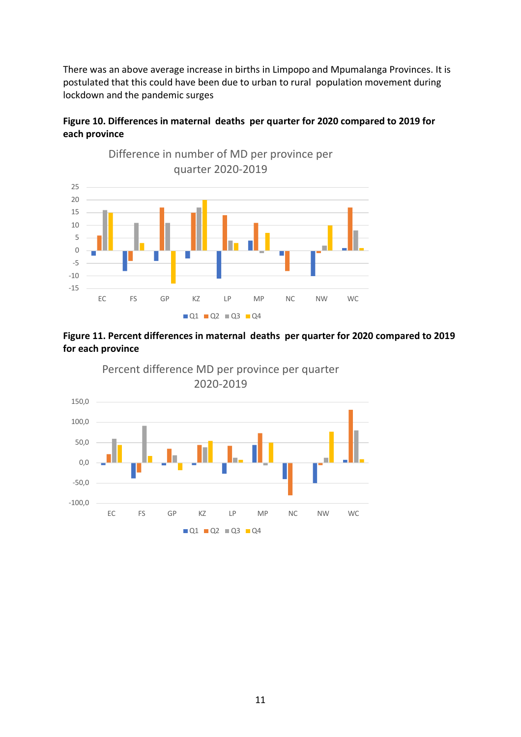There was an above average increase in births in Limpopo and Mpumalanga Provinces. It is postulated that this could have been due to urban to rural population movement during lockdown and the pandemic surges

### **Figure 10. Differences in maternal deaths per quarter for 2020 compared to 2019 for each province**



### **Figure 11. Percent differences in maternal deaths per quarter for 2020 compared to 2019 for each province**

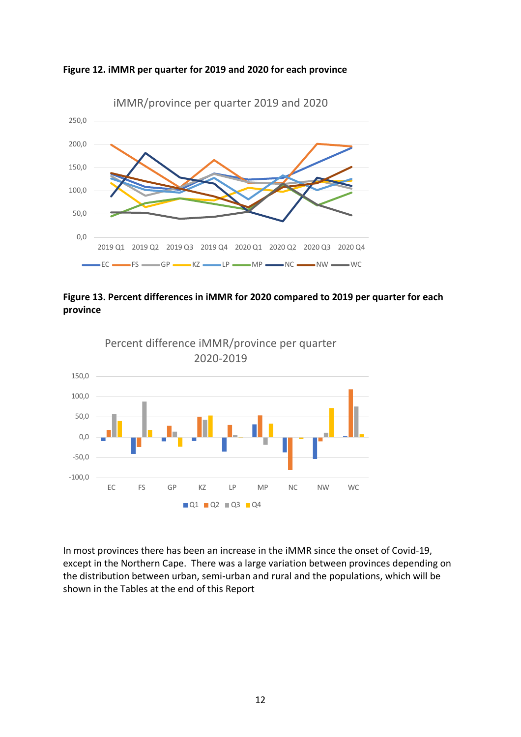







In most provinces there has been an increase in the iMMR since the onset of Covid-19, except in the Northern Cape. There was a large variation between provinces depending on the distribution between urban, semi-urban and rural and the populations, which will be shown in the Tables at the end of this Report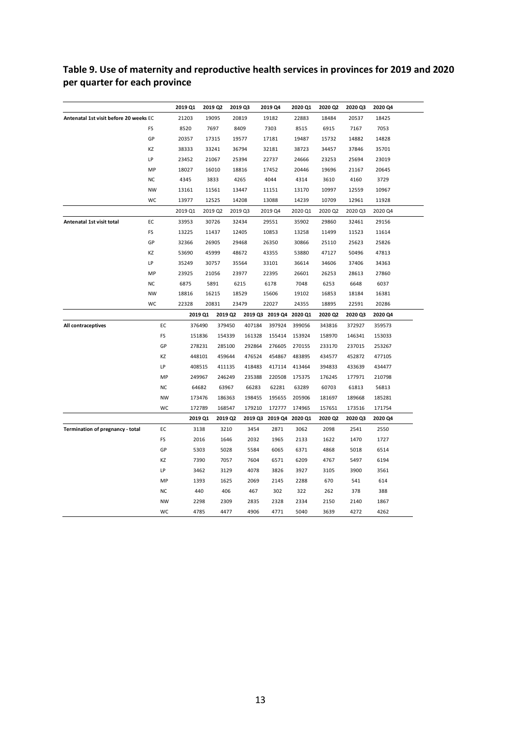### **Table 9. Use of maternity and reproductive health services in provinces for 2019 and 2020 per quarter for each province**

|                                        |           | 2019 Q1   | 2019 Q2 |         | 2019 Q3 | 2019 Q4                 | 2020 Q1 | 2020 Q2 | 2020 Q3 | 2020 Q4 |
|----------------------------------------|-----------|-----------|---------|---------|---------|-------------------------|---------|---------|---------|---------|
| Antenatal 1st visit before 20 weeks EC |           | 21203     | 19095   |         | 20819   | 19182                   | 22883   | 18484   | 20537   | 18425   |
|                                        | <b>FS</b> | 8520      | 7697    |         | 8409    | 7303                    | 8515    | 6915    | 7167    | 7053    |
|                                        | GP        | 20357     | 17315   |         | 19577   | 17181                   | 19487   | 15732   | 14882   | 14828   |
|                                        | KZ        | 38333     | 33241   |         | 36794   | 32181                   | 38723   | 34457   | 37846   | 35701   |
|                                        | LP        | 23452     | 21067   |         | 25394   | 22737                   | 24666   | 23253   | 25694   | 23019   |
|                                        | MP        | 18027     | 16010   |         | 18816   | 17452                   | 20446   | 19696   | 21167   | 20645   |
|                                        | <b>NC</b> | 4345      | 3833    |         | 4265    | 4044                    | 4314    | 3610    | 4160    | 3729    |
|                                        | <b>NW</b> | 13161     | 11561   |         | 13447   | 11151                   | 13170   | 10997   | 12559   | 10967   |
|                                        | WC        | 13977     | 12525   |         | 14208   | 13088                   | 14239   | 10709   | 12961   | 11928   |
|                                        |           | 2019 Q1   | 2019 Q2 |         | 2019 Q3 | 2019 Q4                 | 2020 Q1 | 2020 Q2 | 2020 Q3 | 2020 Q4 |
| Antenatal 1st visit total              | EC        | 33953     | 30726   |         | 32434   | 29551                   | 35902   | 29860   | 32461   | 29156   |
|                                        | FS        | 13225     | 11437   |         | 12405   | 10853                   | 13258   | 11499   | 11523   | 11614   |
|                                        | GP        | 32366     | 26905   |         | 29468   | 26350                   | 30866   | 25110   | 25623   | 25826   |
|                                        | ΚZ        | 53690     | 45999   |         | 48672   | 43355                   | 53880   | 47127   | 50496   | 47813   |
|                                        | LP        | 35249     | 30757   |         | 35564   | 33101                   | 36614   | 34606   | 37406   | 34363   |
|                                        | MP        | 23925     | 21056   |         | 23977   | 22395                   | 26601   | 26253   | 28613   | 27860   |
|                                        | <b>NC</b> | 6875      | 5891    |         | 6215    | 6178                    | 7048    | 6253    | 6648    | 6037    |
|                                        | NW        | 18816     | 16215   |         | 18529   | 15606                   | 19102   | 16853   | 18184   | 16381   |
|                                        | WC        | 22328     | 20831   |         | 23479   | 22027                   | 24355   | 18895   | 22591   | 20286   |
|                                        |           |           | 2019 Q1 | 2019 Q2 |         | 2019 Q3 2019 Q4 2020 Q1 |         | 2020 Q2 | 2020 Q3 | 2020 Q4 |
| All contraceptives                     | EC        |           | 376490  | 379450  | 407184  | 397924                  | 399056  | 343816  | 372927  | 359573  |
|                                        | FS        |           | 151836  | 154339  | 161328  | 155414                  | 153924  | 158970  | 146341  | 153033  |
|                                        | GP        |           | 278231  | 285100  | 292864  | 276605                  | 270155  | 233170  | 237015  | 253267  |
|                                        | KZ        |           | 448101  | 459644  | 476524  | 454867                  | 483895  | 434577  | 452872  | 477105  |
|                                        | LP        |           | 408515  | 411135  | 418483  | 417114                  | 413464  | 394833  | 433639  | 434477  |
|                                        |           | MP        | 249967  | 246249  | 235388  | 220508                  | 175375  | 176245  | 177971  | 210798  |
|                                        | <b>NC</b> |           | 64682   | 63967   | 66283   | 62281                   | 63289   | 60703   | 61813   | 56813   |
|                                        |           | <b>NW</b> | 173476  | 186363  | 198455  | 195655                  | 205906  | 181697  | 189668  | 185281  |
|                                        |           | WC        | 172789  | 168547  | 179210  | 172777                  | 174965  | 157651  | 173516  | 171754  |
|                                        |           |           | 2019 Q1 | 2019 Q2 |         | 2019 Q3 2019 Q4 2020 Q1 |         | 2020 Q2 | 2020 Q3 | 2020 Q4 |
| Termination of pregnancy - total       | EC        |           | 3138    | 3210    | 3454    | 2871                    | 3062    | 2098    | 2541    | 2550    |
|                                        | FS        |           | 2016    | 1646    | 2032    | 1965                    | 2133    | 1622    | 1470    | 1727    |
|                                        | GP        |           | 5303    | 5028    | 5584    | 6065                    | 6371    | 4868    | 5018    | 6514    |
|                                        | ΚZ        |           | 7390    | 7057    | 7604    | 6571                    | 6209    | 4767    | 5497    | 6194    |
|                                        | LP        |           | 3462    | 3129    | 4078    | 3826                    | 3927    | 3105    | 3900    | 3561    |
|                                        |           | MP        | 1393    | 1625    | 2069    | 2145                    | 2288    | 670     | 541     | 614     |
|                                        | <b>NC</b> |           | 440     | 406     | 467     | 302                     | 322     | 262     | 378     | 388     |
|                                        |           | <b>NW</b> | 2298    | 2309    | 2835    | 2328                    | 2334    | 2150    | 2140    | 1867    |
|                                        |           | WC        | 4785    | 4477    | 4906    | 4771                    | 5040    | 3639    | 4272    | 4262    |
|                                        |           |           |         |         |         |                         |         |         |         |         |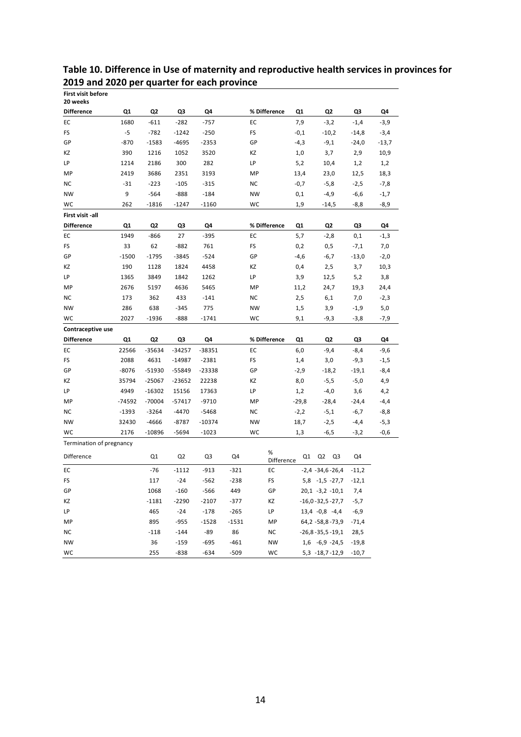| <b>First visit before</b><br>20 weeks |          |                |                  |                |                  |                 |         |                                       |                    |         |
|---------------------------------------|----------|----------------|------------------|----------------|------------------|-----------------|---------|---------------------------------------|--------------------|---------|
| <b>Difference</b>                     | Q1       | Q2             | Q3               | Q4             |                  | % Difference    | Q1      | Q2                                    | Q3                 | Q4      |
| EC                                    | 1680     | $-611$         | $-282$           | $-757$         |                  | EC              | 7,9     | $-3,2$                                | $-1,4$             | $-3,9$  |
| FS                                    | $-5$     | $-782$         | $-1242$          | $-250$         |                  | FS              | $-0,1$  | $-10,2$                               | $-14,8$            | $-3,4$  |
| GP                                    | $-870$   | $-1583$        | $-4695$          | $-2353$        |                  | GP              | $-4,3$  | -9,1                                  | $-24,0$            | $-13,7$ |
| ΚZ                                    | 390      | 1216           | 1052             | 3520           |                  | ΚZ              | 1,0     | 3,7                                   | 2,9                | 10,9    |
| LP                                    | 1214     | 2186           | 300              | 282            |                  | LP              | 5,2     | 10,4                                  | 1,2                | 1,2     |
| MP                                    | 2419     | 3686           | 2351             | 3193           |                  | MP              | 13,4    | 23,0                                  | 12,5               | 18,3    |
| <b>NC</b>                             | $-31$    | $-223$         | $-105$           | $-315$         |                  | NC              | $-0,7$  | $-5,8$                                | $-2,5$             | $-7,8$  |
| <b>NW</b>                             | 9        | $-564$         | $-888$           | $-184$         |                  | <b>NW</b>       | 0,1     | $-4,9$                                | $-6,6$             | $-1,7$  |
| WC                                    | 262      | $-1816$        | $-1247$          | $-1160$        |                  | wc              | 1,9     | -14,5                                 | -8,8               | -8,9    |
| First visit -all                      |          |                |                  |                |                  |                 |         |                                       |                    |         |
| <b>Difference</b>                     | Q1       | Q2             | Q3               | Q4             |                  | % Difference    | Q1      | Q2                                    | Q3                 | Q4      |
| EC                                    | 1949     | -866           | 27               | $-395$         |                  | EC              | 5,7     | $-2,8$                                | 0,1                | $-1,3$  |
| <b>FS</b>                             | 33       | 62             | $-882$           | 761            |                  | FS              | 0,2     | 0,5                                   | $-7,1$             | 7,0     |
| GP                                    | $-1500$  | $-1795$        | $-3845$          | $-524$         |                  | GP              | $-4,6$  | $-6,7$                                | $-13,0$            | $-2,0$  |
| KZ                                    | 190      | 1128           | 1824             | 4458           |                  | ΚZ              | 0,4     | 2,5                                   | 3,7                | 10,3    |
| LP                                    | 1365     | 3849           | 1842             | 1262           |                  | LP              | 3,9     | 12,5                                  | 5,2                | 3,8     |
| MP                                    | 2676     | 5197           | 4636             | 5465           |                  | MP              | 11,2    | 24,7                                  | 19,3               | 24,4    |
| ΝC                                    | 173      | 362            | 433              | $-141$         |                  | NC.             | 2,5     | 6,1                                   | 7,0                | $-2,3$  |
| <b>NW</b>                             | 286      | 638            | $-345$           | 775            |                  | <b>NW</b>       | 1,5     | 3,9                                   | $-1,9$             | 5,0     |
| WC                                    | 2027     | $-1936$        | $-888$           | $-1741$        |                  | WC              | 9,1     | -9,3                                  | $-3,8$             | $-7,9$  |
| Contraceptive use                     |          |                |                  |                |                  |                 |         |                                       |                    |         |
| <b>Difference</b>                     | Q1       | Q <sub>2</sub> | Q3               | Q4             |                  | % Difference    | Q1      | Q2                                    | Q3                 | Q4      |
|                                       |          |                |                  |                |                  |                 |         |                                       |                    |         |
| EC                                    | 22566    | -35634         | $-34257$         | $-38351$       |                  | EC              | 6,0     | $-9,4$                                | $-8,4$             | -9,6    |
| <b>FS</b>                             | 2088     | 4631           | $-14987$         | $-2381$        |                  | FS              | 1,4     | 3,0                                   | $-9,3$             | $-1,5$  |
| GP                                    | $-8076$  | $-51930$       | $-55849$         | $-23338$       |                  | GP              | $-2,9$  | $-18,2$                               | -19,1              | $-8,4$  |
| ΚZ                                    | 35794    | $-25067$       | $-23652$         | 22238          |                  | KZ              | 8,0     | $-5,5$                                | $-5,0$             | 4,9     |
| LP                                    | 4949     | $-16302$       | 15156            | 17363          |                  | LP              | 1,2     | $-4,0$                                | 3,6                | 4,2     |
| MP                                    | $-74592$ | $-70004$       | $-57417$         | $-9710$        |                  | MP              | $-29,8$ | $-28,4$                               | -24,4              | $-4,4$  |
| ΝC                                    | $-1393$  | $-3264$        | $-4470$          | $-5468$        |                  | NC              | $-2,2$  | $-5,1$                                | -6,7               | $-8,8$  |
| <b>NW</b>                             | 32430    | $-4666$        | $-8787$          | $-10374$       |                  | <b>NW</b>       | 18,7    | $-2,5$                                | -4,4               | $-5,3$  |
| WC                                    | 2176     | $-10896$       | $-5694$          | $-1023$        |                  | WC              | 1,3     | $-6,5$                                | $-3,2$             | $-0,6$  |
| Termination of pregnancy              |          |                |                  |                |                  | %               |         |                                       |                    |         |
| Difference                            |          | Q1             | Q <sub>2</sub>   | Q3             | Q4               | Difference      | Q1      | Q2<br>Q3                              | Q4                 |         |
| EC                                    |          | $-76$          | $-1112$          | $-913$         | $-321$           | EC              |         | $-2,4 -34,6 -26,4$                    | $-11,2$            |         |
| FS                                    |          | 117            | $-24$            | $-562$         | $-238$           | FS              |         | 5,8 -1,5 -27,7                        | $-12,1$            |         |
| GP                                    |          | 1068           | $-160$           | -566           | 449              | GP              |         | $20,1 -3,2 -10,1$                     | 7,4                |         |
| KZ                                    |          | $-1181$        | $-2290$          | $-2107$        | $-377$           | ΚZ              |         | $-16,0 -32,5 -27,7$                   | $-5,7$             |         |
| LP                                    |          | 465            | $-24$            | $-178$         | $-265$           | LP              |         | $13,4 -0,8 -4,4$                      | $-6,9$             |         |
| MP                                    |          | 895            | $-955$           | $-1528$        | $-1531$          | MP              |         | 64,2 -58,8 -73,9                      | $-71,4$            |         |
| ΝC                                    |          | $-118$         | $-144$           | $-89$          | 86               | ΝC              |         | $-26,8 - 35,5 - 19,1$                 | 28,5               |         |
| <b>NW</b><br>WC                       |          | 36<br>255      | $-159$<br>$-838$ | $-695$<br>-634 | $-461$<br>$-509$ | <b>NW</b><br>WC |         | $1,6 -6,9 -24,5$<br>$5,3 -18,7 -12,9$ | $-19,8$<br>$-10,7$ |         |

**Table 10. Difference in Use of maternity and reproductive health services in provinces for 2019 and 2020 per quarter for each province**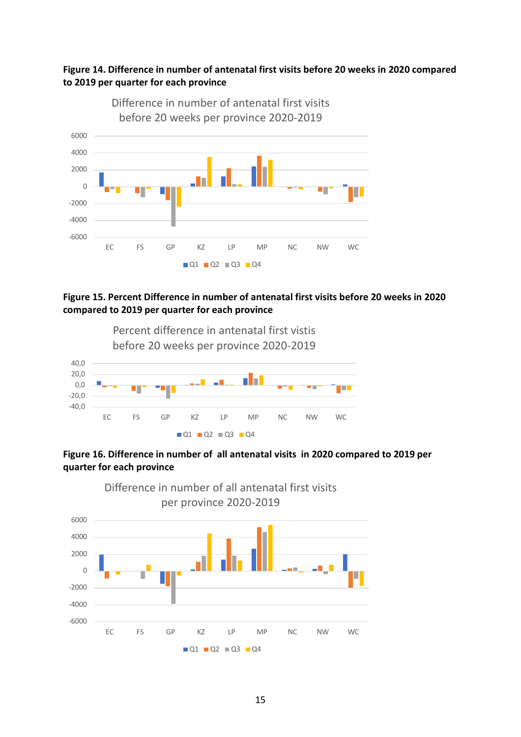### **Figure 14. Difference in number of antenatal first visits before 20 weeks in 2020 compared to 2019 per quarter for each province**



### **Figure 15. Percent Difference in number of antenatal first visits before 20 weeks in 2020 compared to 2019 per quarter for each province**



### **Figure 16. Difference in number of all antenatal visits in 2020 compared to 2019 per quarter for each province**

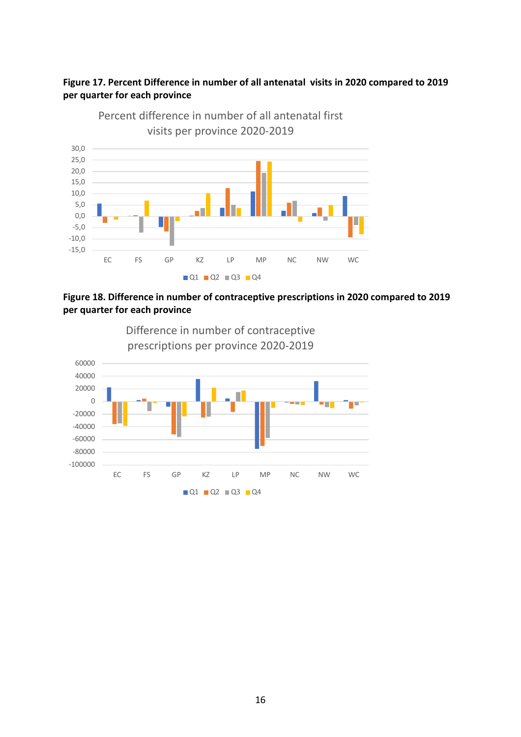### **Figure 17. Percent Difference in number of all antenatal visits in 2020 compared to 2019 per quarter for each province**



Percent difference in number of all antenatal first



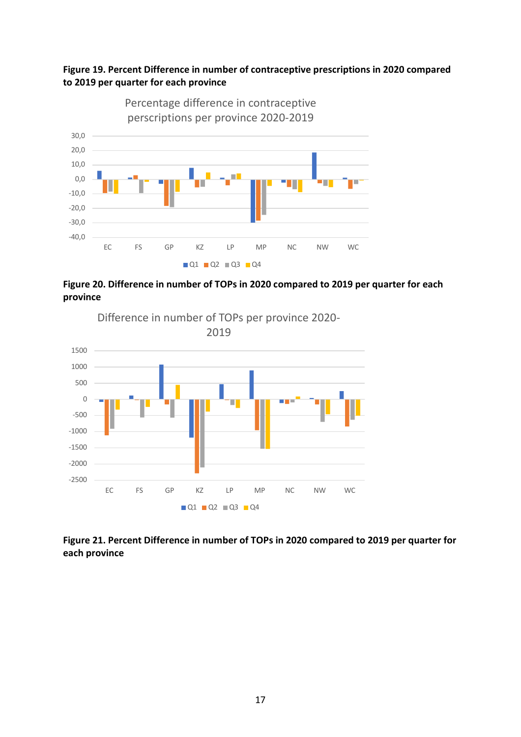



**Figure 20. Difference in number of TOPs in 2020 compared to 2019 per quarter for each province**



**Figure 21. Percent Difference in number of TOPs in 2020 compared to 2019 per quarter for each province**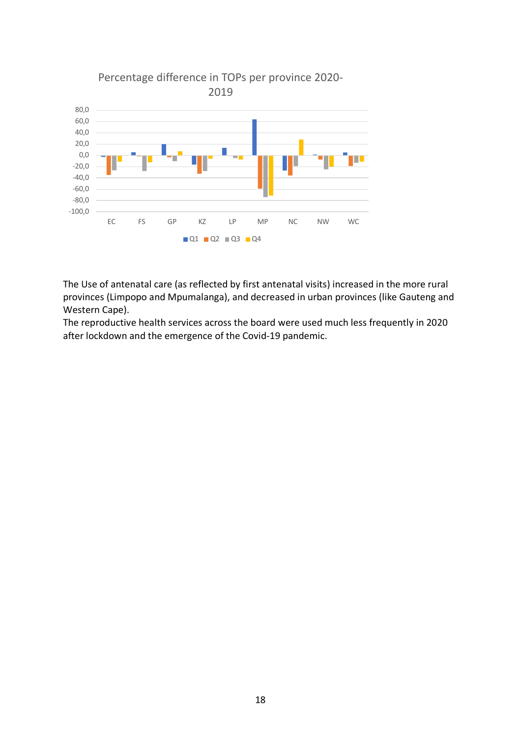

The Use of antenatal care (as reflected by first antenatal visits) increased in the more rural provinces (Limpopo and Mpumalanga), and decreased in urban provinces (like Gauteng and Western Cape).

The reproductive health services across the board were used much less frequently in 2020 after lockdown and the emergence of the Covid-19 pandemic.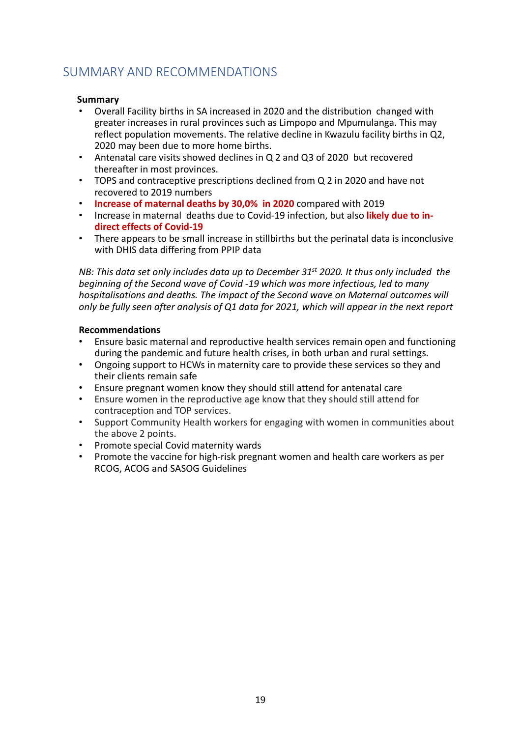### SUMMARY AND RECOMMENDATIONS

### **Summary**

- Overall Facility births in SA increased in 2020 and the distribution changed with greater increases in rural provinces such as Limpopo and Mpumulanga. This may reflect population movements. The relative decline in Kwazulu facility births in Q2, 2020 may been due to more home births.
- Antenatal care visits showed declines in Q 2 and Q3 of 2020 but recovered thereafter in most provinces.
- TOPS and contraceptive prescriptions declined from Q 2 in 2020 and have not recovered to 2019 numbers
- **Increase of maternal deaths by 30,0% in 2020** compared with 2019
- Increase in maternal deaths due to Covid-19 infection, but also **likely due to indirect effects of Covid-19**
- There appears to be small increase in stillbirths but the perinatal data is inconclusive with DHIS data differing from PPIP data

*NB: This data set only includes data up to December 31st 2020. It thus only included the beginning of the Second wave of Covid -19 which was more infectious, led to many hospitalisations and deaths. The impact of the Second wave on Maternal outcomes will only be fully seen after analysis of Q1 data for 2021, which will appear in the next report*

### **Recommendations**

- Ensure basic maternal and reproductive health services remain open and functioning during the pandemic and future health crises, in both urban and rural settings.
- Ongoing support to HCWs in maternity care to provide these services so they and their clients remain safe
- Ensure pregnant women know they should still attend for antenatal care
- Ensure women in the reproductive age know that they should still attend for contraception and TOP services.
- Support Community Health workers for engaging with women in communities about the above 2 points.
- Promote special Covid maternity wards<br>• Promote the vaccine for high-risk pregn
- Promote the vaccine for high-risk pregnant women and health care workers as per RCOG, ACOG and SASOG Guidelines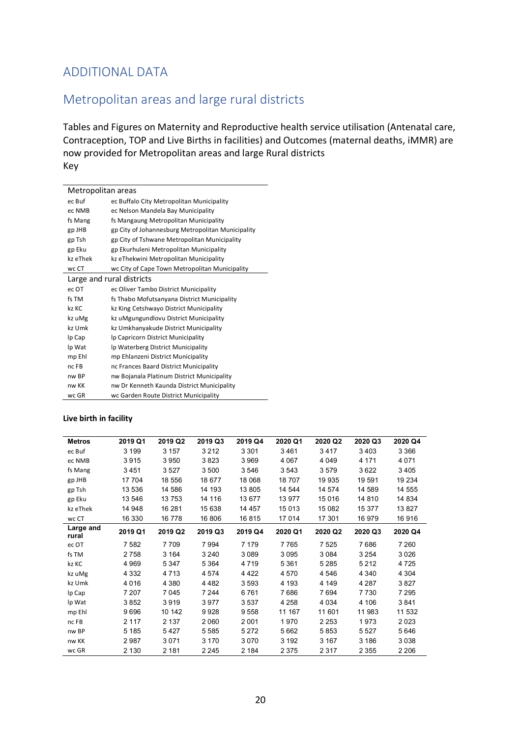### ADDITIONAL DATA

### Metropolitan areas and large rural districts

Tables and Figures on Maternity and Reproductive health service utilisation (Antenatal care, Contraception, TOP and Live Births in facilities) and Outcomes (maternal deaths, iMMR) are now provided for Metropolitan areas and large Rural districts Key

|          | Metropolitan areas                                |
|----------|---------------------------------------------------|
| ec Buf   | ec Buffalo City Metropolitan Municipality         |
| ec NMB   | ec Nelson Mandela Bay Municipality                |
| fs Mang  | fs Mangaung Metropolitan Municipality             |
| gp JHB   | gp City of Johannesburg Metropolitan Municipality |
| gp Tsh   | gp City of Tshwane Metropolitan Municipality      |
| gp Eku   | gp Ekurhuleni Metropolitan Municipality           |
| kz eThek | kz eThekwini Metropolitan Municipality            |
| wc CT    | wc City of Cape Town Metropolitan Municipality    |
|          | Large and rural districts                         |
| ec OT    | ec Oliver Tambo District Municipality             |
| fs TM    | fs Thabo Mofutsanyana District Municipality       |
| kz KC    | kz King Cetshwayo District Municipality           |
| kz uMg   | kz uMgungundlovu District Municipality            |
| kz Umk   | kz Umkhanyakude District Municipality             |
| lp Cap   | Ip Capricorn District Municipality                |
| lp Wat   | Ip Waterberg District Municipality                |
| mp Ehl   | mp Ehlanzeni District Municipality                |
| nc FB    | nc Frances Baard District Municipality            |
| nw BP    | nw Bojanala Platinum District Municipality        |
| nw KK    | nw Dr Kenneth Kaunda District Municipality        |
| wc GR    | wc Garden Route District Municipality             |

#### **Live birth in facility**

| <b>Metros</b>      | 2019 Q1 | 2019 Q2 | 2019 Q3 | 2019 Q4 | 2020 Q1 | 2020 Q2 | 2020 Q3 | 2020 Q4 |
|--------------------|---------|---------|---------|---------|---------|---------|---------|---------|
| ec Buf             | 3 1 9 9 | 3 1 5 7 | 3 2 1 2 | 3 3 0 1 | 3461    | 3417    | 3403    | 3 3 6 6 |
| ec NMB             | 3915    | 3950    | 3823    | 3969    | 4 0 6 7 | 4 0 4 9 | 4 1 7 1 | 4071    |
| fs Mang            | 3451    | 3527    | 3500    | 3546    | 3543    | 3579    | 3622    | 3405    |
| gp JHB             | 17 704  | 18 556  | 18 677  | 18 068  | 18707   | 19 935  | 19 591  | 19 234  |
| gp Tsh             | 13 536  | 14 586  | 14 193  | 13 805  | 14 544  | 14 574  | 14 589  | 14 555  |
| gp Eku             | 13 546  | 13753   | 14 116  | 13 677  | 13 977  | 15 016  | 14 810  | 14 834  |
| kz eThek           | 14 948  | 16 281  | 15 638  | 14 457  | 15 013  | 15 082  | 15 377  | 13827   |
| wc CT              | 16 330  | 16 778  | 16 806  | 16815   | 17014   | 17 301  | 16 979  | 16916   |
| Large and<br>rural | 2019 Q1 | 2019 Q2 | 2019 Q3 | 2019 Q4 | 2020 Q1 | 2020 Q2 | 2020 Q3 | 2020 Q4 |
| ec OT              | 7 5 8 2 | 7709    | 7994    | 7 1 7 9 | 7765    | 7 5 2 5 | 7686    | 7 2 6 0 |
| fs TM              | 2758    | 3 1 6 4 | 3 2 4 0 | 3089    | 3095    | 3084    | 3 2 5 4 | 3026    |
| kz KC              | 4 9 6 9 | 5 3 4 7 | 5 3 6 4 | 4719    | 5 3 6 1 | 5 2 8 5 | 5 2 1 2 | 4725    |
| kz uMg             | 4 3 3 2 | 4713    | 4574    | 4 4 2 2 | 4570    | 4 5 4 6 | 4 3 4 0 | 4 3 0 4 |
| kz Umk             | 4016    | 4 3 8 0 | 4482    | 3593    | 4 1 9 3 | 4 1 4 9 | 4 2 8 7 | 3827    |
| lp Cap             | 7 207   | 7045    | 7 2 4 4 | 6761    | 7686    | 7694    | 7730    | 7 2 9 5 |
| lp Wat             | 3852    | 3919    | 3977    | 3537    | 4 2 5 8 | 4 0 3 4 | 4 106   | 3841    |
| mp Ehl             | 9696    | 10 142  | 9928    | 9558    | 11 167  | 11 601  | 11 983  | 11 532  |
| nc FB              | 2 1 1 7 | 2 1 3 7 | 2060    | 2001    | 1970    | 2 2 5 3 | 1973    | 2023    |
| nw BP              | 5 1 8 5 | 5427    | 5585    | 5 2 7 2 | 5662    | 5853    | 5 5 2 7 | 5646    |
| nw KK              | 2987    | 3071    | 3 1 7 0 | 3070    | 3 1 9 2 | 3 1 6 7 | 3 1 8 6 | 3038    |
| wc GR              | 2 1 3 0 | 2 1 8 1 | 2 2 4 5 | 2 1 8 4 | 2 3 7 5 | 2317    | 2 3 5 5 | 2 2 0 6 |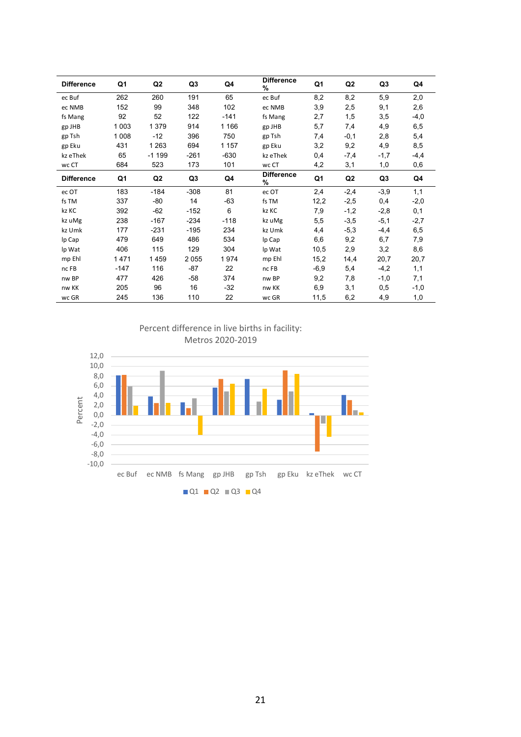| <b>Difference</b> | Q1      | Q2             | Q3     | Q4      | <b>Difference</b><br>% | Q1     | Q2             | Q3     | Q4     |
|-------------------|---------|----------------|--------|---------|------------------------|--------|----------------|--------|--------|
| ec Buf            | 262     | 260            | 191    | 65      | ec Buf                 | 8,2    | 8,2            | 5,9    | 2,0    |
| ec NMB            | 152     | 99             | 348    | 102     | ec NMB                 | 3,9    | 2,5            | 9,1    | 2,6    |
| fs Mang           | 92      | 52             | 122    | $-141$  | fs Mang                | 2,7    | 1,5            | 3,5    | $-4,0$ |
| gp JHB            | 1 0 0 3 | 1 379          | 914    | 1 1 6 6 | gp JHB                 | 5,7    | 7,4            | 4,9    | 6,5    |
| gp Tsh            | 1 0 0 8 | $-12$          | 396    | 750     | gp Tsh                 | 7,4    | $-0,1$         | 2,8    | 5,4    |
| gp Eku            | 431     | 1 2 6 3        | 694    | 1 1 5 7 | gp Eku                 | 3,2    | 9,2            | 4,9    | 8,5    |
| kz eThek          | 65      | $-1199$        | $-261$ | $-630$  | kz eThek               | 0,4    | $-7,4$         | $-1,7$ | $-4,4$ |
| wc CT             | 684     | 523            | 173    | 101     | wc CT                  | 4,2    | 3,1            | 1,0    | 0,6    |
| <b>Difference</b> | Q1      | Q <sub>2</sub> | Q3     | Q4      | <b>Difference</b><br>% | Q1     | Q <sub>2</sub> | Q3     | Q4     |
| ec OT             | 183     | $-184$         | $-308$ | 81      | ec OT                  | 2,4    | $-2,4$         | $-3,9$ | 1,1    |
| fs TM             | 337     | $-80$          | 14     | $-63$   | fs TM                  | 12,2   | $-2,5$         | 0,4    | $-2,0$ |
| kz KC             | 392     | $-62$          | $-152$ | 6       | kz KC                  | 7,9    | $-1,2$         | $-2,8$ | 0,1    |
| kz uMg            | 238     | $-167$         | $-234$ | $-118$  | kz uMg                 | 5,5    | $-3,5$         | $-5,1$ | $-2,7$ |
| kz Umk            | 177     | -231           | $-195$ | 234     | kz Umk                 | 4,4    | $-5,3$         | -4,4   | 6,5    |
| lp Cap            | 479     | 649            | 486    | 534     | lp Cap                 | 6,6    | 9,2            | 6,7    | 7,9    |
| Ip Wat            | 406     | 115            | 129    | 304     | lp Wat                 | 10,5   | 2,9            | 3,2    | 8,6    |
| mp Ehl            | 1471    | 1459           | 2055   | 1974    | mp Ehl                 | 15,2   | 14,4           | 20,7   | 20,7   |
| nc FB             | $-147$  | 116            | -87    | 22      | nc FB                  | $-6,9$ | 5,4            | $-4,2$ | 1,1    |
| nw BP             | 477     | 426            | -58    | 374     | nw BP                  | 9,2    | 7,8            | $-1,0$ | 7,1    |
| nw KK             | 205     | 96             | 16     | $-32$   | nw KK                  | 6,9    | 3,1            | 0,5    | $-1,0$ |
| wc GR             | 245     | 136            | 110    | 22      | wc GR                  | 11,5   | 6,2            | 4,9    | 1,0    |

Percent difference in live births in facility: Metros 2020-2019

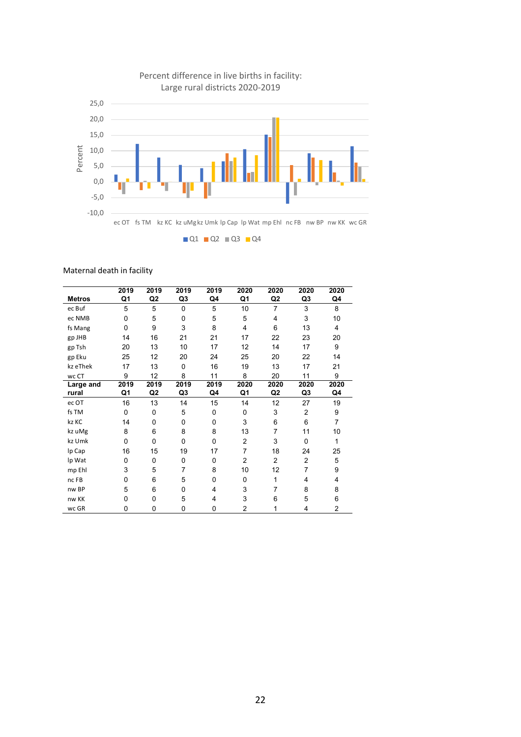

#### Maternal death in facility

|               | 2019         | 2019           | 2019     | 2019 | 2020           | 2020           | 2020           | 2020           |
|---------------|--------------|----------------|----------|------|----------------|----------------|----------------|----------------|
| <b>Metros</b> | Q1           | Q <sub>2</sub> | Q3       | Q4   | Q1             | Q2             | Q3             | Q4             |
| ec Buf        | 5            | 5              | $\Omega$ | 5    | 10             | $\overline{7}$ | 3              | 8              |
| ec NMB        | 0            | 5              | $\Omega$ | 5    | 5              | 4              | 3              | 10             |
| fs Mang       | $\Omega$     | 9              | 3        | 8    | 4              | 6              | 13             | 4              |
| gp JHB        | 14           | 16             | 21       | 21   | 17             | 22             | 23             | 20             |
| gp Tsh        | 20           | 13             | 10       | 17   | 12             | 14             | 17             | 9              |
| gp Eku        | 25           | 12             | 20       | 24   | 25             | 20             | 22             | 14             |
| kz eThek      | 17           | 13             | $\Omega$ | 16   | 19             | 13             | 17             | 21             |
| wc CT         | 9            | 12             | 8        | 11   | 8              | 20             | 11             | 9              |
| Large and     | 2019         | 2019           | 2019     | 2019 | 2020           | 2020           | 2020           | 2020           |
| rural         | Q1           | Q <sub>2</sub> | Q3       | Q4   | Q1             | Q2             | Q3             | Q4             |
| ec OT         | 16           | 13             | 14       | 15   | 14             | 12             | 27             | 19             |
| fs TM         | 0            | 0              | 5        | 0    | 0              | 3              | 2              | 9              |
| kz KC         | 14           | 0              | 0        | 0    | 3              | 6              | 6              | $\overline{7}$ |
| kz uMg        | 8            | 6              | 8        | 8    | 13             | 7              | 11             | 10             |
| kz Umk        | $\mathbf{0}$ | 0              | 0        | 0    | $\overline{2}$ | 3              | $\mathbf{0}$   | 1              |
| Ip Cap        | 16           | 15             | 19       | 17   | 7              | 18             | 24             | 25             |
| lp Wat        | 0            | 0              | 0        | 0    | $\overline{2}$ | $\overline{2}$ | $\overline{2}$ | 5              |
| mp Ehl        | 3            | 5              | 7        | 8    | 10             | 12             | 7              | 9              |
| nc FB         | $\mathbf{0}$ | 6              | 5        | 0    | $\Omega$       | 1              | 4              | 4              |
| nw BP         | 5            | 6              | 0        | 4    | 3              | 7              | 8              | 8              |
| nw KK         | 0            | 0              | 5        | 4    | 3              | 6              | 5              | 6              |
| wc GR         | 0            | 0              | 0        | 0    | 2              |                | 4              | 2              |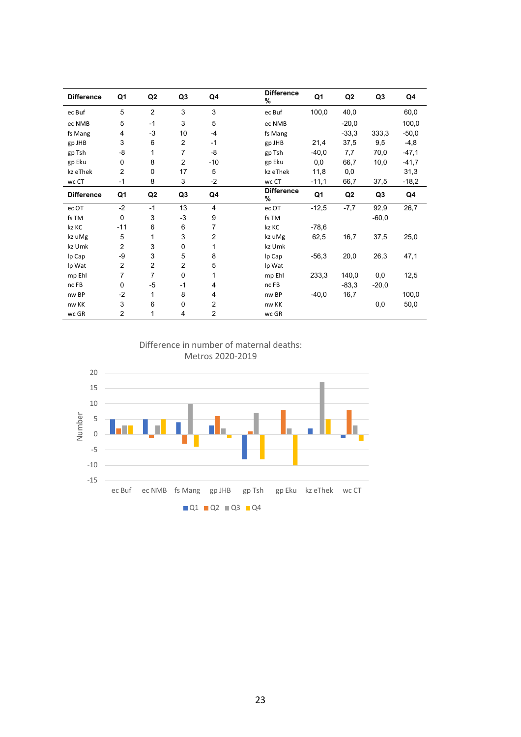| <b>Difference</b> | Q1             | Q <sub>2</sub> | Q3             | Q4             | <b>Difference</b><br>% | Q1      | Q <sub>2</sub> | Q <sub>3</sub> | Q4      |
|-------------------|----------------|----------------|----------------|----------------|------------------------|---------|----------------|----------------|---------|
| ec Buf            | 5              | $\overline{2}$ | 3              | 3              | ec Buf                 | 100,0   | 40,0           |                | 60,0    |
| ec NMB            | 5              | $-1$           | 3              | 5              | ec NMB                 |         | $-20,0$        |                | 100,0   |
| fs Mang           | 4              | $-3$           | 10             | $-4$           | fs Mang                |         | $-33,3$        | 333,3          | $-50,0$ |
| gp JHB            | 3              | 6              | 2              | -1             | gp JHB                 | 21,4    | 37,5           | 9,5            | $-4,8$  |
| gp Tsh            | -8             | 1              | $\overline{7}$ | -8             | gp Tsh                 | $-40,0$ | 7,7            | 70,0           | $-47,1$ |
| gp Eku            | 0              | 8              | $\overline{2}$ | $-10$          | gp Eku                 | 0,0     | 66,7           | 10,0           | $-41,7$ |
| kz eThek          | $\overline{2}$ | 0              | 17             | 5              | kz eThek               | 11,8    | 0,0            |                | 31,3    |
| wc CT             | $-1$           | 8              | 3              | $-2$           | wc CT                  | $-11,1$ | 66,7           | 37,5           | $-18,2$ |
| <b>Difference</b> | Q1             | Q <sub>2</sub> | Q <sub>3</sub> | Q4             | <b>Difference</b><br>% | Q1      | Q <sub>2</sub> | Q <sub>3</sub> | Q4      |
| ec OT             | $-2$           | $-1$           | 13             | 4              | ec OT                  | $-12,5$ | $-7,7$         | 92,9           | 26,7    |
| fs TM             | $\mathbf 0$    | 3              | $-3$           | 9              | fs TM                  |         |                | $-60,0$        |         |
| kz KC             | $-11$          | 6              | 6              | 7              | kz KC                  | $-78,6$ |                |                |         |
| kz uMg            | 5              | 1              | 3              | $\overline{2}$ | kz uMg                 | 62,5    | 16,7           | 37,5           | 25,0    |
| kz Umk            | 2              | 3              | 0              | 1              | kz Umk                 |         |                |                |         |
| lp Cap            | -9             | 3              | 5              | 8              | Ip Cap                 | $-56,3$ | 20,0           | 26,3           | 47,1    |
| lp Wat            | $\overline{2}$ | $\overline{2}$ | $\overline{2}$ | 5              | Ip Wat                 |         |                |                |         |
| mp Ehl            | 7              | $\overline{7}$ | 0              | 1              | mp Ehl                 | 233,3   | 140,0          | 0,0            | 12,5    |
| nc FB             | 0              | -5             | $-1$           | 4              | nc FB                  |         | $-83,3$        | $-20,0$        |         |
| nw BP             | $-2$           | 1              | 8              | 4              | nw BP                  | $-40,0$ | 16,7           |                | 100,0   |
| nw KK             | 3              | 6              | $\mathbf 0$    | $\overline{2}$ | nw KK                  |         |                | 0,0            | 50,0    |
| wc GR             | 2              | 1              | 4              | $\overline{2}$ | wc GR                  |         |                |                |         |



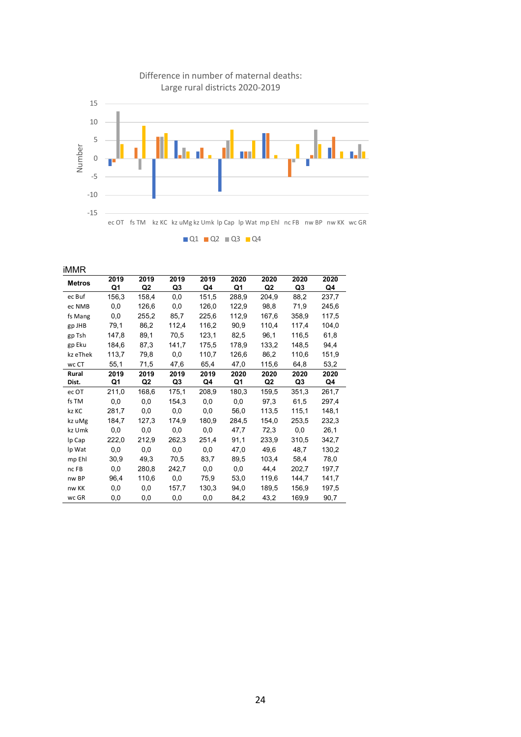

iMMR **Metros <sup>2019</sup> Q1 2019 Q2 2019 Q3 2019 Q4 2020 Q1 2020 Q2 2020 Q3 2020 Q4** ec Buf 156,3 158,4 0,0 151,5 288,9 204,9 88,2 237,7 ec NMB 0,0 126,6 0,0 126,0 122,9 98,8 71,9 245,6 fs Mang 0,0 255,2 85,7 225,6 112,9 167,6 358,9 117,5 gp JHB 79,1 86,2 112,4 116,2 90,9 110,4 117,4 104,0 gp Tsh 147,8 89,1 70,5 123,1 82,5 96,1 116,5 61,8 gp Eku 184,6 87,3 141,7 175,5 178,9 133,2 148,5 94,4 kz eThek 113,7 79,8 0,0 110,7 126,6 86,2 110,6 151,9 wc CT 55,1 71,5 47,6 65,4 47,0 115,6 64,8 53,2 **Rural Dist. 2019 Q1 2019 Q2 2019 Q3 2019 Q4 2020 Q1 2020 Q2 2020 Q3 2020 Q4** ec OT 211,0 168,6 175,1 208,9 180,3 159,5 351,3 261,7 fs TM 0,0 0,0 154,3 0,0 0,0 97,3 61,5 297,4 kz KC 281,7 0,0 0,0 0,0 56,0 113,5 115,1 148,1 kz uMg 184,7 127,3 174,9 180,9 284,5 154,0 253,5 232,3 kz Umk 0,0 0,0 0,0 0,0 47,7 72,3 0,0 26,1 lp Cap 222,0 212,9 262,3 251,4 91,1 233,9 310,5 342,7 lp Wat 0,0 0,0 0,0 0,0 47,0 49,6 48,7 130,2 mp Ehl 30,9 49,3 70,5 83,7 89,5 103,4 58,4 78,0 nc FB 0,0 280,8 242,7 0,0 0,0 44,4 202,7 197,7 nw BP 96,4 110,6 0,0 75,9 53,0 119,6 144,7 141,7 nw KK 0,0 0,0 157,7 130,3 94,0 189,5 156,9 197,5 wc GR 0,0 0,0 0,0 0,0 84,2 43,2 169,9 90,7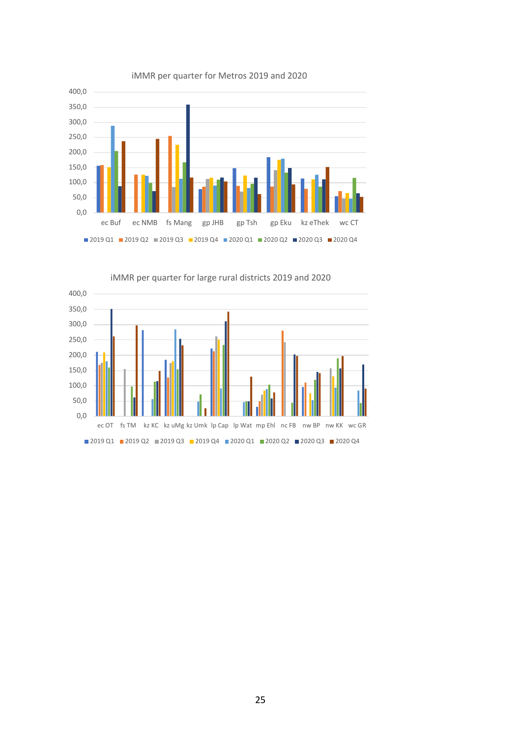

iMMR per quarter for Metros 2019 and 2020



iMMR per quarter for large rural districts 2019 and 2020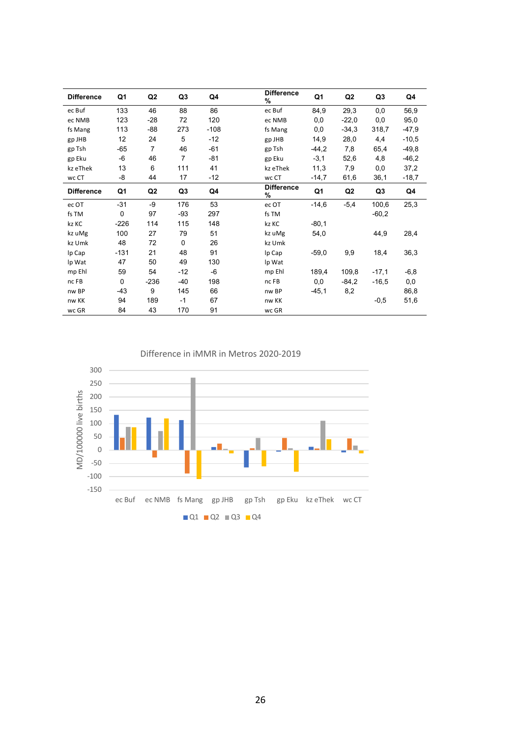| <b>Difference</b> | Q1     | Q <sub>2</sub> | Q3          | Q4     | <b>Difference</b><br>% | Q1             | Q <sub>2</sub> | Q3      | Q4      |
|-------------------|--------|----------------|-------------|--------|------------------------|----------------|----------------|---------|---------|
| ec Buf            | 133    | 46             | 88          | 86     | ec Buf                 | 84,9           | 29,3           | 0,0     | 56,9    |
| ec NMB            | 123    | $-28$          | 72          | 120    | ec NMB                 | 0,0            | $-22,0$        | 0,0     | 95,0    |
| fs Mang           | 113    | -88            | 273         | $-108$ | fs Mang                | 0,0            | $-34.3$        | 318,7   | $-47,9$ |
| gp JHB            | 12     | 24             | 5           | $-12$  | gp JHB                 | 14,9           | 28,0           | 4,4     | $-10,5$ |
| gp Tsh            | $-65$  | $\overline{7}$ | 46          | $-61$  | gp Tsh                 | $-44,2$        | 7,8            | 65,4    | $-49.8$ |
| gp Eku            | -6     | 46             | 7           | $-81$  | gp Eku                 | $-3,1$         | 52,6           | 4,8     | $-46,2$ |
| kz eThek          | 13     | 6              | 111         | 41     | kz eThek               | 11,3           | 7,9            | 0,0     | 37,2    |
| wc CT             | -8     | 44             | 17          | $-12$  | wc CT                  | $-14,7$        | 61,6           | 36,1    | $-18,7$ |
| <b>Difference</b> | Q1     | Q <sub>2</sub> | Q3          | Q4     | <b>Difference</b><br>% | Q <sub>1</sub> | Q <sub>2</sub> | Q3      | Q4      |
| ec OT             | $-31$  | -9             | 176         | 53     | ec OT                  | $-14,6$        | $-5,4$         | 100,6   | 25,3    |
| fs TM             | 0      | 97             | -93         | 297    | fs TM                  |                |                | $-60,2$ |         |
| kz KC             | $-226$ | 114            | 115         | 148    | kz KC                  | $-80,1$        |                |         |         |
| kz uMg            | 100    | 27             | 79          | 51     | kz uMg                 | 54,0           |                | 44,9    | 28,4    |
| kz Umk            | 48     | 72             | $\mathbf 0$ | 26     | kz Umk                 |                |                |         |         |
| lp Cap            | $-131$ | 21             | 48          | 91     | lp Cap                 | $-59,0$        | 9,9            | 18,4    | 36,3    |
| lp Wat            | 47     | 50             | 49          | 130    | lp Wat                 |                |                |         |         |
| mp Ehl            | 59     | 54             | -12         | -6     | mp Ehl                 | 189,4          | 109,8          | $-17,1$ | $-6,8$  |
| nc FB             | 0      | $-236$         | -40         | 198    | nc FB                  | 0,0            | $-84.2$        | $-16,5$ | 0,0     |
| nw BP             | $-43$  | 9              | 145         | 66     | nw BP                  | $-45,1$        | 8,2            |         | 86,8    |
| nw KK             | 94     | 189            | $-1$        | 67     | nw KK                  |                |                | $-0,5$  | 51,6    |
| wc GR             | 84     | 43             | 170         | 91     | wc GR                  |                |                |         |         |

Difference in iMMR in Metros 2020-2019

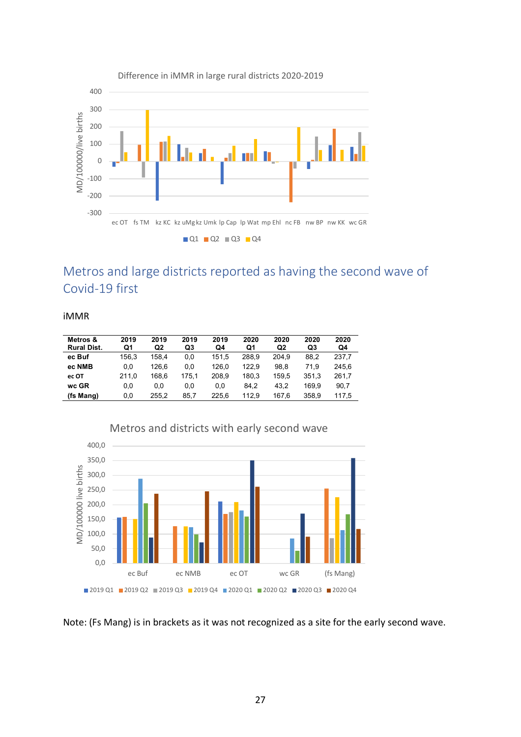

Metros and large districts reported as having the second wave of Covid-19 first

iMMR

| Metros &<br><b>Rural Dist.</b> | 2019<br>Q1 | 2019<br>Q2 | 2019<br>Q3 | 2019<br>Q4 | 2020<br>Q1 | 2020<br>Q <sub>2</sub> | 2020<br>Q3 | 2020<br>Q4 |
|--------------------------------|------------|------------|------------|------------|------------|------------------------|------------|------------|
| ec Buf                         | 156.3      | 158.4      | 0.0        | 151.5      | 288.9      | 204.9                  | 88.2       | 237.7      |
| ec NMB                         | 0.0        | 126.6      | 0.0        | 126.0      | 122.9      | 98.8                   | 71.9       | 245.6      |
| ec OT                          | 211.0      | 168.6      | 175.1      | 208.9      | 180.3      | 159.5                  | 351.3      | 261.7      |
| wc GR                          | 0.0        | 0.0        | 0.0        | 0.0        | 84.2       | 43.2                   | 169.9      | 90.7       |
| (fs Mang)                      | 0.0        | 255.2      | 85.7       | 225.6      | 112.9      | 167.6                  | 358.9      | 117.5      |



Note: (Fs Mang) is in brackets as it was not recognized as a site for the early second wave.

#### Difference in iMMR in large rural districts 2020-2019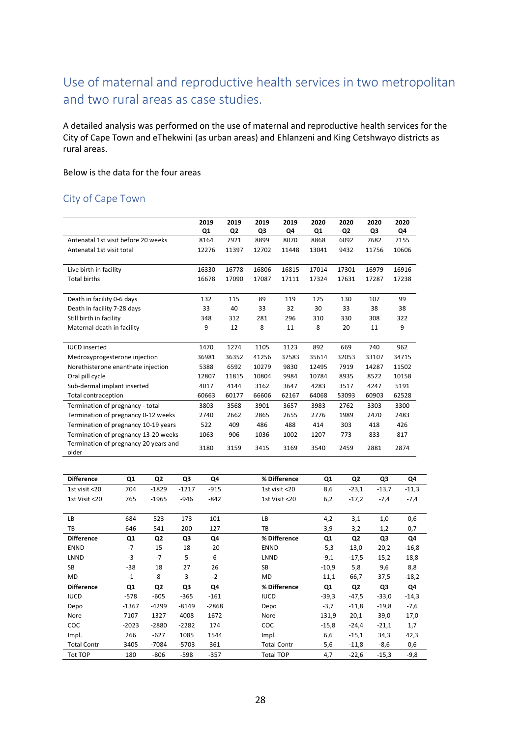### Use of maternal and reproductive health services in two metropolitan and two rural areas as case studies.

A detailed analysis was performed on the use of maternal and reproductive health services for the City of Cape Town and eThekwini (as urban areas) and Ehlanzeni and King Cetshwayo districts as rural areas.

Below is the data for the four areas

### City of Cape Town

| 2019  | 2019           | 2019  | 2019  | 2020  | 2020           | 2020  | 2020  |
|-------|----------------|-------|-------|-------|----------------|-------|-------|
| Q1    | Q <sub>2</sub> | Q3    | Q4    | Q1    | Q <sub>2</sub> | Q3    | Q4    |
| 8164  | 7921           | 8899  | 8070  | 8868  | 6092           | 7682  | 7155  |
| 12276 | 11397          | 12702 | 11448 | 13041 | 9432           | 11756 | 10606 |
|       |                |       |       |       |                |       |       |
| 16330 | 16778          | 16806 | 16815 | 17014 | 17301          | 16979 | 16916 |
| 16678 | 17090          | 17087 | 17111 | 17324 | 17631          | 17287 | 17238 |
|       |                |       |       |       |                |       |       |
| 132   | 115            | 89    | 119   | 125   | 130            | 107   | 99    |
| 33    | 40             | 33    | 32    | 30    | 33             | 38    | 38    |
| 348   | 312            | 281   | 296   | 310   | 330            | 308   | 322   |
| 9     | 12             | 8     | 11    | 8     | 20             | 11    | 9     |
|       |                |       |       |       |                |       |       |
| 1470  | 1274           | 1105  | 1123  | 892   | 669            | 740   | 962   |
| 36981 | 36352          | 41256 | 37583 | 35614 | 32053          | 33107 | 34715 |
| 5388  | 6592           | 10279 | 9830  | 12495 | 7919           | 14287 | 11502 |
| 12807 | 11815          | 10804 | 9984  | 10784 | 8935           | 8522  | 10158 |
| 4017  | 4144           | 3162  | 3647  | 4283  | 3517           | 4247  | 5191  |
| 60663 | 60177          | 66606 | 62167 | 64068 | 53093          | 60903 | 62528 |
| 3803  | 3568           | 3901  | 3657  | 3983  | 2762           | 3303  | 3300  |
| 2740  | 2662           | 2865  | 2655  | 2776  | 1989           | 2470  | 2483  |
| 522   | 409            | 486   | 488   | 414   | 303            | 418   | 426   |
| 1063  | 906            | 1036  | 1002  | 1207  | 773            | 833   | 817   |
| 3180  | 3159           | 3415  | 3169  | 3540  | 2459           | 2881  | 2874  |
|       |                |       |       |       |                |       |       |

| <b>Difference</b>  | Q1             | Q2             | Q3      | Q4      | % Difference       | Q1      | Q <sub>2</sub> | Q3      | Q4      |
|--------------------|----------------|----------------|---------|---------|--------------------|---------|----------------|---------|---------|
| 1st visit <20      | 704            | $-1829$        | $-1217$ | $-915$  | 1st visit <20      | 8,6     | $-23,1$        | $-13,7$ | $-11,3$ |
| 1st Visit <20      | 765            | $-1965$        | $-946$  | $-842$  | 1st Visit <20      | 6,2     | $-17,2$        | $-7,4$  | $-7,4$  |
|                    |                |                |         |         |                    |         |                |         |         |
| LB                 | 684            | 523            | 173     | 101     | LB                 | 4,2     | 3,1            | 1,0     | 0,6     |
| ТB                 | 646            | 541            | 200     | 127     | TB                 | 3,9     | 3,2            | 1,2     | 0,7     |
| <b>Difference</b>  | Q <sub>1</sub> | Q <sub>2</sub> | Q3      | Q4      | % Difference       | Q1      | Q <sub>2</sub> | Q3      | Q4      |
| <b>ENND</b>        | $-7$           | 15             | 18      | $-20$   | <b>ENND</b>        | $-5,3$  | 13,0           | 20,2    | $-16,8$ |
| LNND               | $-3$           | $-7$           | 5       | 6       | LNND               | $-9,1$  | $-17,5$        | 15,2    | 18,8    |
| SB                 | $-38$          | 18             | 27      | 26      | <b>SB</b>          | $-10,9$ | 5,8            | 9,6     | 8,8     |
| MD                 | $-1$           | 8              | 3       | $-2$    | MD                 | $-11,1$ | 66,7           | 37,5    | $-18,2$ |
| <b>Difference</b>  | Q1             | Q <sub>2</sub> | Q3      | Q4      | % Difference       | Q1      | Q <sub>2</sub> | Q3      | Q4      |
| <b>IUCD</b>        | $-578$         | $-605$         | $-365$  | $-161$  | <b>IUCD</b>        | $-39,3$ | $-47,5$        | $-33,0$ | $-14,3$ |
| Depo               | $-1367$        | $-4299$        | $-8149$ | $-2868$ | Depo               | $-3,7$  | $-11,8$        | $-19,8$ | $-7,6$  |
| Nore               | 7107           | 1327           | 4008    | 1672    | Nore               | 131,9   | 20,1           | 39,0    | 17,0    |
| <b>COC</b>         | $-2023$        | $-2880$        | $-2282$ | 174     | COC                | $-15,8$ | $-24,4$        | $-21,1$ | 1,7     |
| Impl.              | 266            | $-627$         | 1085    | 1544    | Impl.              | 6,6     | $-15,1$        | 34,3    | 42,3    |
| <b>Total Contr</b> | 3405           | $-7084$        | $-5703$ | 361     | <b>Total Contr</b> | 5,6     | $-11,8$        | $-8,6$  | 0,6     |
| <b>Tot TOP</b>     | 180            | $-806$         | $-598$  | $-357$  | <b>Total TOP</b>   | 4,7     | $-22,6$        | $-15,3$ | $-9,8$  |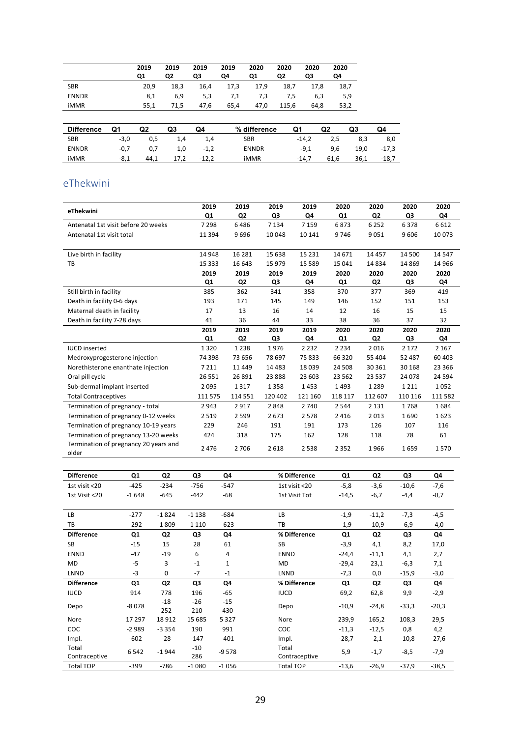|              | 2019<br>Q1 | 2019<br>Q2 | 2019<br>QЗ | 2019<br>Q4 | 2020<br>Q1 | 2020<br>Q2 | 2020<br>QЗ | 2020<br>Q4 |
|--------------|------------|------------|------------|------------|------------|------------|------------|------------|
| <b>SBR</b>   | 20.9       | 18,3       | 16,4       | 17,3       | 17,9       | 18,7       | 17.8       | 18,7       |
| <b>ENNDR</b> | 8,1        | 6,9        | 5,3        | 7,1        | 7,3        | 7,5        | 6,3        | 5,9        |
| <b>iMMR</b>  | 55.1       | 71.5       | 47.6       | 65,4       | 47.0       | 115.6      | 64.8       | 53,2       |
|              |            |            |            |            |            |            |            |            |

| Difference   | Q1     | Q2   | Q3    | Q4     | % difference | Q1      | Q2   | Q3   | Q4    |
|--------------|--------|------|-------|--------|--------------|---------|------|------|-------|
| SBR          | $-3.0$ | 0.5  | - 1.4 | 1.4    | <b>SBR</b>   | -14.2   | 2,5  | 8,3  | 8,0   |
| <b>ENNDR</b> | -0.7   | 0.7  | 1.0   | $-1.2$ | <b>ENNDR</b> | -9.1    | 9.6  | 19,0 | -17.3 |
| iMMR         | -8,1   | 44,1 | 17,2  | -12,2  | <b>iMMR</b>  | $-14.7$ | 61,6 | 36,1 | -18,7 |

### eThekwini

| eThekwini                                      | 2019     | 2019           | 2019     | 2019     | 2020    | 2020           | 2020    | 2020    |
|------------------------------------------------|----------|----------------|----------|----------|---------|----------------|---------|---------|
|                                                | Q1       | Q <sub>2</sub> | Q3       | Q4       | Q1      | Q2             | Q3      | Q4      |
| Antenatal 1st visit before 20 weeks            | 7298     | 6486           | 7 1 3 4  | 7 1 5 9  | 6873    | 6 2 5 2        | 6378    | 6612    |
| Antenatal 1st visit total                      | 11 3 9 4 | 9696           | 10048    | 10 14 1  | 9746    | 9051           | 9606    | 10073   |
|                                                |          |                |          |          |         |                |         |         |
| Live birth in facility                         | 14 948   | 16 2 8 1       | 15 638   | 15 2 3 1 | 14 671  | 14 4 5 7       | 14 500  | 14 5 47 |
| TB                                             | 15 3 33  | 16 643         | 15 979   | 15 5 89  | 15 041  | 14834          | 14 8 69 | 14 9 66 |
|                                                | 2019     | 2019           | 2019     | 2019     | 2020    | 2020           | 2020    | 2020    |
|                                                | Q1       | Q <sub>2</sub> | Q3       | Q4       | Q1      | Q <sub>2</sub> | Q3      | Q4      |
| Still birth in facility                        | 385      | 362            | 341      | 358      | 370     | 377            | 369     | 419     |
| Death in facility 0-6 days                     | 193      | 171            | 145      | 149      | 146     | 152            | 151     | 153     |
| Maternal death in facility                     | 17       | 13             | 16       | 14       | 12      | 16             | 15      | 15      |
| Death in facility 7-28 days                    | 41       | 36             | 44       | 33       | 38      | 36             | 37      | 32      |
|                                                | 2019     | 2019           | 2019     | 2019     | 2020    | 2020           | 2020    | 2020    |
|                                                | Q1       | Q2             | Q3       | Q4       | Q1      | Q2             | Q3      | Q4      |
| <b>IUCD</b> inserted                           | 1320     | 1 2 3 8        | 1976     | 2 2 3 2  | 2 2 3 4 | 2016           | 2 1 7 2 | 2 1 6 7 |
| Medroxyprogesterone injection                  | 74 398   | 73 656         | 78 697   | 75833    | 66 3 20 | 55 404         | 52 487  | 60 403  |
| Norethisterone enanthate injection             | 7211     | 11 4 4 9       | 14 4 8 3 | 18039    | 24 508  | 30 361         | 30 168  | 23 3 66 |
| Oral pill cycle                                | 26 5 5 1 | 26 891         | 23888    | 23 603   | 23 5 62 | 23 5 37        | 24 0 78 | 24 5 94 |
| Sub-dermal implant inserted                    | 2095     | 1317           | 1358     | 1453     | 1493    | 1 2 8 9        | 1211    | 1052    |
| <b>Total Contraceptives</b>                    | 111 575  | 114 551        | 120 402  | 121 160  | 118 117 | 112 607        | 110 116 | 111 582 |
| Termination of pregnancy - total               | 2943     | 2917           | 2848     | 2740     | 2544    | 2 1 3 1        | 1768    | 1684    |
| Termination of pregnancy 0-12 weeks            | 2519     | 2599           | 2673     | 2578     | 2 4 1 6 | 2013           | 1690    | 1623    |
| Termination of pregnancy 10-19 years           | 229      | 246            | 191      | 191      | 173     | 126            | 107     | 116     |
| Termination of pregnancy 13-20 weeks           | 424      | 318            | 175      | 162      | 128     | 118            | 78      | 61      |
| Termination of pregnancy 20 years and<br>older | 2476     | 2 7 0 6        | 2618     | 2538     | 2 3 5 2 | 1966           | 1659    | 1570    |

| <b>Difference</b> | Q1      | Q <sub>2</sub> | Q3           | Q4           | % Difference     | Q1      | Q <sub>2</sub> | Q3      | Q4      |
|-------------------|---------|----------------|--------------|--------------|------------------|---------|----------------|---------|---------|
| 1st visit <20     | $-425$  | $-234$         | $-756$       | $-547$       | 1st visit <20    | $-5,8$  | $-3,6$         | $-10,6$ | $-7,6$  |
| 1st Visit <20     | $-1648$ | $-645$         | $-442$       | $-68$        | 1st Visit Tot    | $-14,5$ | $-6,7$         | $-4,4$  | $-0,7$  |
|                   |         |                |              |              |                  |         |                |         |         |
| LB                | $-277$  | $-1824$        | $-1138$      | $-684$       | LB               | $-1,9$  | $-11,2$        | $-7,3$  | $-4,5$  |
| TB                | $-292$  | $-1809$        | $-1110$      | $-623$       | TB               | $-1,9$  | $-10,9$        | $-6,9$  | $-4,0$  |
| <b>Difference</b> | Q1      | Q <sub>2</sub> | Q3           | Q4           | % Difference     | Q1      | Q <sub>2</sub> | Q3      | Q4      |
| <b>SB</b>         | $-15$   | 15             | 28           | 61           | <b>SB</b>        | $-3,9$  | 4,1            | 8,2     | 17,0    |
| <b>ENND</b>       | $-47$   | $-19$          | 6            | 4            | <b>ENND</b>      | $-24,4$ | $-11,1$        | 4,1     | 2,7     |
| <b>MD</b>         | $-5$    | 3              | $-1$         | $\mathbf{1}$ | MD               | $-29,4$ | 23,1           | $-6,3$  | 7,1     |
| LNND              | $-3$    | $\mathbf 0$    | $-7$         | $-1$         | LNND             | $-7,3$  | 0,0            | $-15,9$ | $-3,0$  |
| <b>Difference</b> | Q1      | Q <sub>2</sub> | Q3           | Q4           | % Difference     | Q1      | Q <sub>2</sub> | Q3      | Q4      |
| <b>IUCD</b>       | 914     | 778            | 196          | $-65$        | <b>IUCD</b>      | 69,2    | 62,8           | 9,9     | $-2,9$  |
| Depo              | $-8078$ | $-18$<br>252   | $-26$<br>210 | $-15$<br>430 | Depo             | $-10,9$ | $-24,8$        | $-33,3$ | $-20,3$ |
| Nore              | 17 297  | 18912          | 15 685       | 5327         | Nore             | 239,9   | 165,2          | 108,3   | 29,5    |
| COC               | $-2989$ | $-3354$        | 190          | 991          | COC              | $-11,3$ | $-12,5$        | 0,8     | 4,2     |
| Impl.             | $-602$  | $-28$          | $-147$       | $-401$       | Impl.            | $-28,7$ | $-2,1$         | $-10,8$ | $-27,6$ |
| Total             | 6542    | $-1944$        | $-10$        | $-9578$      | Total            | 5,9     | $-1,7$         | $-8,5$  | $-7,9$  |
| Contraceptive     |         |                | 286          |              | Contraceptive    |         |                |         |         |
| <b>Total TOP</b>  | $-399$  | $-786$         | $-1080$      | $-1056$      | <b>Total TOP</b> | $-13,6$ | $-26,9$        | $-37,9$ | $-38,5$ |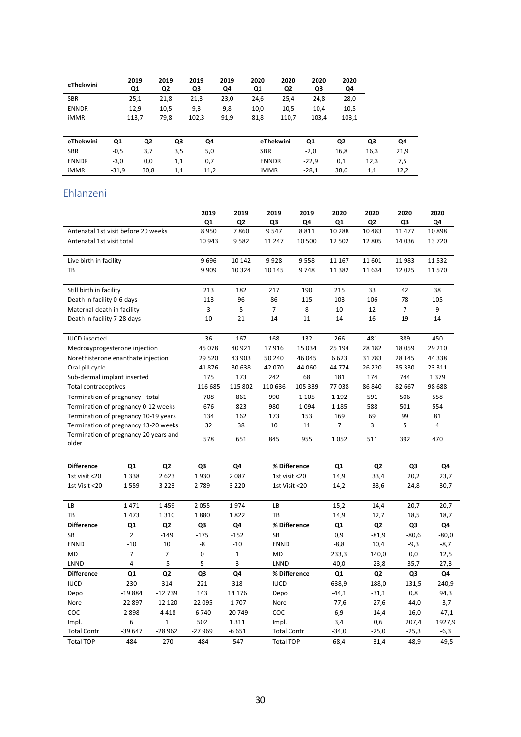| eThekwini    | 2019<br>Q1 | 2019<br>Q <sub>2</sub> | 2019<br>Q3 | 2019<br>Q4 | 2020<br>Q1 | 2020<br>Q2 | 2020<br>Q3 | 2020<br>Q4 |
|--------------|------------|------------------------|------------|------------|------------|------------|------------|------------|
| <b>SBR</b>   | 25,1       | 21.8                   | 21,3       | 23.0       | 24.6       | 25,4       | 24.8       | 28,0       |
| <b>ENNDR</b> | 12.9       | 10.5                   | 9,3        | 9,8        | 10.0       | 10.5       | 10.4       | 10.5       |
| iMMR         | 113.7      | 79.8                   | 102.3      | 91,9       | 81.8       | 110.7      | 103.4      | 103,1      |
|              |            |                        |            |            |            |            |            |            |

| eThekwini    | Q1      | Q2   | Q3  | Q4   | eThekwini    | Q1      | Q2   | Q3   | Q4   |
|--------------|---------|------|-----|------|--------------|---------|------|------|------|
| <b>SBR</b>   | $-0,5$  | 3,7  | 3,5 | 5,0  | SBR          | $-2,0$  | 16,8 | 16,3 | 21,9 |
| <b>ENNDR</b> | $-3,0$  | 0,0  | 1,1 |      | <b>ENNDR</b> | $-22.9$ | 0,1  | 12,3 | 7,5  |
| iMMR         | $-31,9$ | 30,8 | 1,1 | 11.2 | iMMR         | $-28,1$ | 38,6 | 1,1  | 12,2 |

### Ehlanzeni

|                                                | 2019           | 2019           | 2019     | 2019    | 2020     | 2020           | 2020           | 2020    |
|------------------------------------------------|----------------|----------------|----------|---------|----------|----------------|----------------|---------|
|                                                | Q <sub>1</sub> | Q <sub>2</sub> | Q3       | Q4      | Q1       | Q <sub>2</sub> | Q3             | Q4      |
| Antenatal 1st visit before 20 weeks            | 8950           | 7860           | 9547     | 8811    | 10 288   | 10483          | 11 477         | 10898   |
| Antenatal 1st visit total                      | 10 943         | 9582           | 11 2 4 7 | 10 500  | 12 502   | 12 805         | 14 0 36        | 13720   |
|                                                |                |                |          |         |          |                |                |         |
| Live birth in facility                         | 9696           | 10 142         | 9928     | 9558    | 11 167   | 11601          | 11983          | 11532   |
| TB                                             | 9 9 0 9        | 10 3 24        | 10 145   | 9748    | 11 3 8 2 | 11634          | 12 0 25        | 11570   |
|                                                |                |                |          |         |          |                |                |         |
| Still birth in facility                        | 213            | 182            | 217      | 190     | 215      | 33             | 42             | 38      |
| Death in facility 0-6 days                     | 113            | 96             | 86       | 115     | 103      | 106            | 78             | 105     |
| Maternal death in facility                     | 3              | 5              | 7        | 8       | 10       | 12             | $\overline{7}$ | 9       |
| Death in facility 7-28 days                    | 10             | 21             | 14       | 11      | 14       | 16             | 19             | 14      |
|                                                |                |                |          |         |          |                |                |         |
| <b>IUCD</b> inserted                           | 36             | 167            | 168      | 132     | 266      | 481            | 389            | 450     |
| Medroxyprogesterone injection                  | 45 078         | 40 9 21        | 17916    | 15 0 34 | 25 194   | 28 182         | 18 0 59        | 29 2 10 |
| Norethisterone enanthate injection             | 29 5 20        | 43 903         | 50 240   | 46 045  | 6623     | 31783          | 28 145         | 44 3 38 |
| Oral pill cycle                                | 41876          | 30 638         | 42 070   | 44 060  | 44 7 7 4 | 26 2 20        | 35 330         | 23 3 11 |
| Sub-dermal implant inserted                    | 175            | 173            | 242      | 68      | 181      | 174            | 744            | 1379    |
| <b>Total contraceptives</b>                    | 116 685        | 115 802        | 110 636  | 105 339 | 77038    | 86 840         | 82 667         | 98 688  |
| Termination of pregnancy - total               | 708            | 861            | 990      | 1 1 0 5 | 1 1 9 2  | 591            | 506            | 558     |
| Termination of pregnancy 0-12 weeks            | 676            | 823            | 980      | 1094    | 1 1 8 5  | 588            | 501            | 554     |
| Termination of pregnancy 10-19 years           | 134            | 162            | 173      | 153     | 169      | 69             | 99             | 81      |
| Termination of pregnancy 13-20 weeks           | 32             | 38             | 10       | 11      | 7        | 3              | 5              | 4       |
| Termination of pregnancy 20 years and<br>older | 578            | 651            | 845      | 955     | 1052     | 511            | 392            | 470     |

| <b>Difference</b>  | Q1       | Q <sub>2</sub> | Q3       | Q4       | % Difference       | Q1      | Q <sub>2</sub> | Q3      | Q4      |
|--------------------|----------|----------------|----------|----------|--------------------|---------|----------------|---------|---------|
| 1st visit <20      | 1338     | 2623           | 1930     | 2087     | 1st visit <20      | 14,9    | 33,4           | 20,2    | 23,7    |
| 1st Visit <20      | 1559     | 3 2 2 3        | 2789     | 3 2 2 0  | 1st Visit <20      | 14,2    | 33,6           | 24,8    | 30,7    |
|                    |          |                |          |          |                    |         |                |         |         |
| LB                 | 1471     | 1459           | 2055     | 1974     | LB                 | 15,2    | 14,4           | 20,7    | 20,7    |
| TB                 | 1473     | 1310           | 1880     | 1822     | TB                 | 14,9    | 12,7           | 18,5    | 18,7    |
| <b>Difference</b>  | Q1       | Q <sub>2</sub> | Q3       | Q4       | % Difference       | Q1      | Q <sub>2</sub> | Q3      | Q4      |
| <b>SB</b>          | 2        | $-149$         | $-175$   | $-152$   | <b>SB</b>          | 0,9     | $-81,9$        | $-80,6$ | $-80,0$ |
| <b>ENND</b>        | $-10$    | 10             | -8       | $-10$    | <b>ENND</b>        | $-8,8$  | 10,4           | $-9,3$  | $-8,7$  |
| <b>MD</b>          | 7        | 7              | 0        | 1        | <b>MD</b>          | 233,3   | 140,0          | 0,0     | 12,5    |
| LNND               | 4        | -5             | 5        | 3        | LNND               | 40,0    | $-23,8$        | 35,7    | 27,3    |
| <b>Difference</b>  | Q1       | Q <sub>2</sub> | Q3       | Q4       | % Difference       | Q1      | Q2             | Q3      | Q4      |
| <b>IUCD</b>        | 230      | 314            | 221      | 318      | <b>IUCD</b>        | 638,9   | 188,0          | 131,5   | 240,9   |
| Depo               | $-19884$ | $-12739$       | 143      | 14 176   | Depo               | $-44,1$ | $-31,1$        | 0,8     | 94,3    |
| Nore               | $-22897$ | $-12120$       | $-22095$ | $-1707$  | Nore               | $-77,6$ | $-27,6$        | $-44,0$ | $-3,7$  |
| COC                | 2898     | $-4418$        | $-6740$  | $-20749$ | <b>COC</b>         | 6,9     | $-14,4$        | $-16,0$ | $-47,1$ |
| Impl.              | 6        | $\mathbf{1}$   | 502      | 1311     | Impl.              | 3,4     | 0,6            | 207,4   | 1927,9  |
| <b>Total Contr</b> | $-39647$ | $-28962$       | $-27969$ | $-6651$  | <b>Total Contr</b> | -34,0   | $-25,0$        | $-25,3$ | $-6,3$  |
| <b>Total TOP</b>   | 484      | $-270$         | $-484$   | $-547$   | <b>Total TOP</b>   | 68,4    | $-31,4$        | $-48,9$ | $-49,5$ |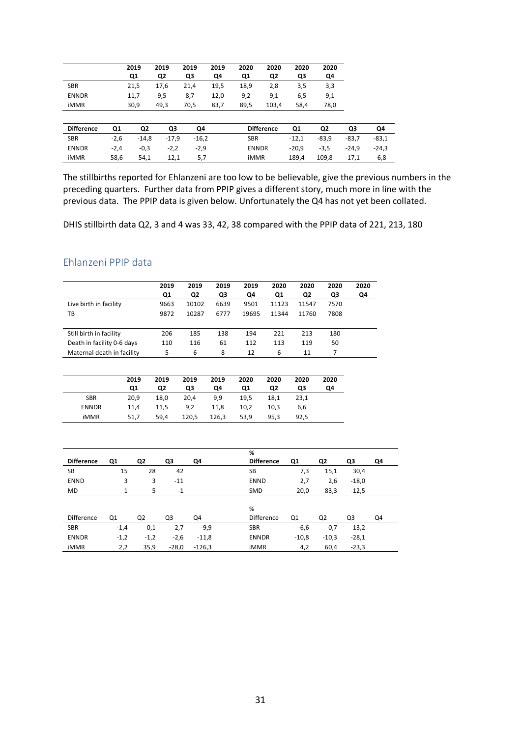|                   |        | 2019           | 2019           | 2019    | 2019 | 2020           | 2020              | 2020    | 2020    |         |         |
|-------------------|--------|----------------|----------------|---------|------|----------------|-------------------|---------|---------|---------|---------|
|                   |        | Q1             | Q <sub>2</sub> | Q3      | Q4   | Q <sub>1</sub> | Q <sub>2</sub>    | Q3      | Q4      |         |         |
| <b>SBR</b>        |        | 21,5           | 17,6           | 21,4    | 19,5 | 18,9           | 2,8               | 3,5     | 3,3     |         |         |
| <b>ENNDR</b>      |        | 11,7           | 9,5            | 8,7     | 12,0 | 9,2            | 9,1               | 6,5     | 9,1     |         |         |
| <b>iMMR</b>       |        | 30,9           | 49,3           | 70,5    | 83,7 | 89,5           | 103,4             | 58,4    | 78,0    |         |         |
|                   |        |                |                |         |      |                |                   |         |         |         |         |
| <b>Difference</b> | Q1     | Q <sub>2</sub> | Q3             | Q4      |      |                | <b>Difference</b> | Q1      | Q2      | Q3      | Q4      |
| <b>SBR</b>        | $-2,6$ | $-14,8$        | $-17,9$        | $-16,2$ |      | <b>SBR</b>     |                   | $-12,1$ | $-83,9$ | $-83,7$ | $-83,1$ |
| <b>ENNDR</b>      | $-2,4$ | $-0,3$         | $-2,2$         | $-2,9$  |      | <b>ENNDR</b>   |                   | $-20,9$ | $-3,5$  | $-24.9$ | $-24,3$ |
| <b>iMMR</b>       | 58,6   | 54,1           | $-12,1$        | $-5,7$  |      | <b>iMMR</b>    |                   | 189,4   | 109,8   | $-17,1$ | $-6,8$  |

The stillbirths reported for Ehlanzeni are too low to be believable, give the previous numbers in the preceding quarters. Further data from PPIP gives a different story, much more in line with the previous data. The PPIP data is given below. Unfortunately the Q4 has not yet been collated.

DHIS stillbirth data Q2, 3 and 4 was 33, 42, 38 compared with the PPIP data of 221, 213, 180

### Ehlanzeni PPIP data

|                            | 2019 | 2019           | 2019 | 2019  | 2020  | 2020  | 2020 | 2020 |
|----------------------------|------|----------------|------|-------|-------|-------|------|------|
|                            | Q1   | Q <sub>2</sub> | Q3   | Q4    | Q1    | Q2    | Q3   | Q4   |
| Live birth in facility     | 9663 | 10102          | 6639 | 9501  | 11123 | 11547 | 7570 |      |
| ΤВ                         | 9872 | 10287          | 6777 | 19695 | 11344 | 11760 | 7808 |      |
|                            |      |                |      |       |       |       |      |      |
| Still birth in facility    | 206  | 185            | 138  | 194   | 221   | 213   | 180  |      |
| Death in facility 0-6 days | 110  | 116            | 61   | 112   | 113   | 119   | 50   |      |
| Maternal death in facility | 5    | 6              | 8    | 12    | 6     | 11    |      |      |
|                            |      |                |      |       |       |       |      |      |

|              | 2019 | 2019 | 2019  | 2019  | 2020 | 2020 | 2020 | 2020 |
|--------------|------|------|-------|-------|------|------|------|------|
|              | Q1   | Q2   | Q3    | Q4    | Q1   | Q2   | Q3   | Q4   |
| <b>SBR</b>   | 20.9 | 18,0 | 20,4  | 9,9   | 19.5 | 18,1 | 23,1 |      |
| <b>ENNDR</b> | 11.4 | 11.5 | 9,2   | 11,8  | 10,2 | 10.3 | 6,6  |      |
| iMMR         | 51,7 | 59,4 | 120,5 | 126,3 | 53,9 | 95,3 | 92,5 |      |

|                   |        |                |         |          | %            |                              |                |         |    |
|-------------------|--------|----------------|---------|----------|--------------|------------------------------|----------------|---------|----|
| <b>Difference</b> | Q1     | Q2             | Q3      | Q4       |              | <b>Difference</b><br>Q1      | Q2             | Q3      | Q4 |
| SB                | 15     | 28             | 42      |          | SB           | 7,3                          | 15,1           | 30,4    |    |
| <b>ENND</b>       | 3      | 3              | $-11$   |          | <b>ENND</b>  | 2,7                          | 2,6            | $-18,0$ |    |
| MD                | 1      | 5              | $-1$    |          | SMD          | 20,0                         | 83,3           | $-12,5$ |    |
|                   |        |                |         |          |              |                              |                |         |    |
|                   |        |                |         |          | %            |                              |                |         |    |
| <b>Difference</b> | Q1     | Q <sub>2</sub> | Q3      | Q4       |              | Difference<br>Q <sub>1</sub> | Q <sub>2</sub> | Q3      | Q4 |
| <b>SBR</b>        | $-1,4$ | 0,1            | 2,7     | $-9,9$   | <b>SBR</b>   | $-6,6$                       | 0,7            | 13,2    |    |
| <b>ENNDR</b>      | $-1,2$ | $-1,2$         | $-2,6$  | $-11,8$  | <b>ENNDR</b> | $-10,8$                      | $-10,3$        | $-28,1$ |    |
| <b>iMMR</b>       | 2,2    | 35,9           | $-28,0$ | $-126,3$ | <b>iMMR</b>  | 4,2                          | 60,4           | $-23,3$ |    |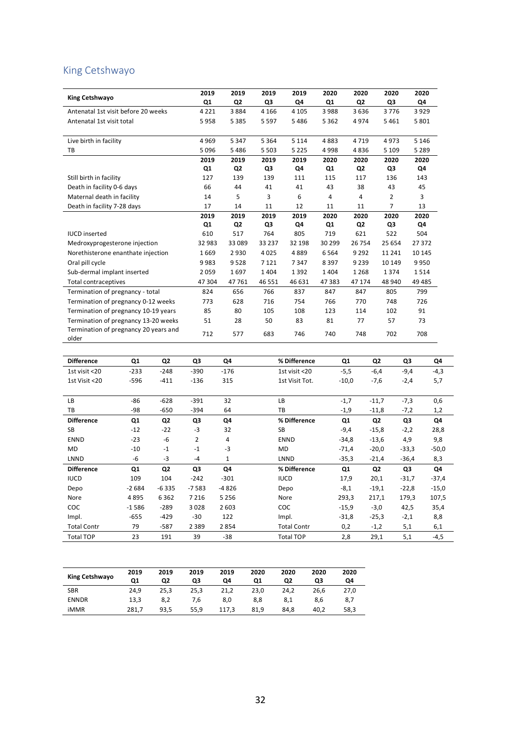### King Cetshwayo

|                                                | 2019    | 2019           | 2019    | 2019    | 2020   | 2020           | 2020           | 2020    |
|------------------------------------------------|---------|----------------|---------|---------|--------|----------------|----------------|---------|
| King Cetshwayo                                 | Q1      | Q <sub>2</sub> | Q3      | Q4      | Q1     | Q <sub>2</sub> | Q3             | Q4      |
| Antenatal 1st visit before 20 weeks            | 4 2 2 1 | 3884           | 4 1 6 6 | 4 1 0 5 | 3988   | 3636           | 3776           | 3929    |
| Antenatal 1st visit total                      | 5958    | 5 3 8 5        | 5 5 9 7 | 5486    | 5362   | 4974           | 5461           | 5 8 0 1 |
|                                                |         |                |         |         |        |                |                |         |
| Live birth in facility                         | 4969    | 5 3 4 7        | 5 3 6 4 | 5 1 1 4 | 4883   | 4719           | 4973           | 5 1 4 6 |
| TB                                             | 5096    | 5486           | 5 5 0 3 | 5 2 2 5 | 4998   | 4836           | 5 1 0 9        | 5 2 8 9 |
|                                                | 2019    | 2019           | 2019    | 2019    | 2020   | 2020           | 2020           | 2020    |
|                                                | Q1      | Q <sub>2</sub> | Q3      | Q4      | Q1     | Q <sub>2</sub> | Q3             | Q4      |
| Still birth in facility                        | 127     | 139            | 139     | 111     | 115    | 117            | 136            | 143     |
| Death in facility 0-6 days                     | 66      | 44             | 41      | 41      | 43     | 38             | 43             | 45      |
| Maternal death in facility                     | 14      | 5              | 3       | 6       | 4      | $\overline{4}$ | $\overline{2}$ | 3       |
| Death in facility 7-28 days                    | 17      | 14             | 11      | 12      | 11     | 11             | 7              | 13      |
|                                                | 2019    | 2019           | 2019    | 2019    | 2020   | 2020           | 2020           | 2020    |
|                                                | Q1      | Q <sub>2</sub> | Q3      | Q4      | Q1     | Q <sub>2</sub> | Q3             | Q4      |
| <b>IUCD</b> inserted                           | 610     | 517            | 764     | 805     | 719    | 621            | 522            | 504     |
| Medroxyprogesterone injection                  | 32 983  | 33 089         | 33 237  | 32 198  | 30 299 | 26 7 54        | 25 654         | 27 372  |
| Norethisterone enanthate injection             | 1669    | 2930           | 4025    | 4889    | 6564   | 9 2 9 2        | 11 24 1        | 10 145  |
| Oral pill cycle                                | 9983    | 9528           | 7 1 2 1 | 7347    | 8397   | 9 2 3 9        | 10 149         | 9950    |
| Sub-dermal implant inserted                    | 2059    | 1697           | 1404    | 1392    | 1404   | 1 2 6 8        | 1374           | 1514    |
| <b>Total contraceptives</b>                    | 47 304  | 47761          | 46 5 51 | 46 631  | 47383  | 47 174         | 48 940         | 49 4 85 |
| Termination of pregnancy - total               | 824     | 656            | 766     | 837     | 847    | 847            | 805            | 799     |
| Termination of pregnancy 0-12 weeks            | 773     | 628            | 716     | 754     | 766    | 770            | 748            | 726     |
| Termination of pregnancy 10-19 years           | 85      | 80             | 105     | 108     | 123    | 114            | 102            | 91      |
| Termination of pregnancy 13-20 weeks           | 51      | 28             | 50      | 83      | 81     | 77             | 57             | 73      |
| Termination of pregnancy 20 years and<br>older | 712     | 577            | 683     | 746     | 740    | 748            | 702            | 708     |

| <b>Difference</b>  | Q1      | Q <sub>2</sub> | Q3             | Q4      | % Difference       | Q1      | Q <sub>2</sub> | Q3      | Q4      |
|--------------------|---------|----------------|----------------|---------|--------------------|---------|----------------|---------|---------|
| 1st visit <20      | $-233$  | $-248$         | $-390$         | $-176$  | 1st visit <20      | $-5,5$  | $-6,4$         | $-9,4$  | $-4,3$  |
| 1st Visit <20      | $-596$  | $-411$         | $-136$         | 315     | 1st Visit Tot.     | $-10,0$ | $-7,6$         | $-2,4$  | 5,7     |
| LB                 | -86     | $-628$         | $-391$         | 32      | LB                 | $-1,7$  | $-11,7$        | $-7,3$  | 0,6     |
| TB                 | -98     | $-650$         | $-394$         | 64      | TB                 | $-1,9$  | $-11,8$        | $-7,2$  | 1,2     |
| <b>Difference</b>  | Q1      | Q <sub>2</sub> | Q3             | Q4      | % Difference       | Q1      | Q <sub>2</sub> | Q3      | Q4      |
| <b>SB</b>          | $-12$   | $-22$          | $-3$           | 32      | <b>SB</b>          | $-9,4$  | $-15,8$        | $-2,2$  | 28,8    |
| <b>ENND</b>        | $-23$   | $-6$           | $\overline{2}$ | 4       | <b>ENND</b>        | $-34,8$ | $-13,6$        | 4,9     | 9,8     |
| <b>MD</b>          | $-10$   | $-1$           | $-1$           | $-3$    | <b>MD</b>          | $-71,4$ | $-20,0$        | $-33,3$ | $-50,0$ |
| LNND               | -6      | $-3$           | $-4$           | 1       | LNND               | $-35,3$ | $-21,4$        | $-36,4$ | 8,3     |
| <b>Difference</b>  | Q1      | Q <sub>2</sub> | Q3             | Q4      | % Difference       | Q1      | Q <sub>2</sub> | Q3      | Q4      |
| <b>IUCD</b>        | 109     | 104            | $-242$         | $-301$  | <b>IUCD</b>        | 17,9    | 20,1           | $-31,7$ | $-37,4$ |
| Depo               | $-2684$ | $-6335$        | $-7583$        | $-4826$ | Depo               | $-8,1$  | $-19,1$        | $-22,8$ | $-15,0$ |
| Nore               | 4895    | 6362           | 7 2 1 6        | 5 2 5 6 | Nore               | 293,3   | 217,1          | 179,3   | 107,5   |
| COC                | $-1586$ | $-289$         | 3028           | 2603    | COC                | $-15,9$ | $-3,0$         | 42,5    | 35,4    |
| Impl.              | $-655$  | $-429$         | $-30$          | 122     | Impl.              | $-31,8$ | $-25,3$        | $-2,1$  | 8,8     |
| <b>Total Contr</b> | 79      | $-587$         | 2 3 8 9        | 2854    | <b>Total Contr</b> | 0,2     | $-1,2$         | 5,1     | 6,1     |
| <b>Total TOP</b>   | 23      | 191            | 39             | $-38$   | <b>Total TOP</b>   | 2,8     | 29,1           | 5,1     | $-4,5$  |

| King Cetshwayo | 2019<br>Q1 | 2019<br>Q2 | 2019<br>Q3 | 2019<br>Q4 | 2020<br>Q1 | 2020<br>Q2 | 2020<br>Q3 | 2020<br>Q4 |
|----------------|------------|------------|------------|------------|------------|------------|------------|------------|
| <b>SBR</b>     | 24.9       | 25,3       | 25,3       | 21,2       | 23,0       | 24.2       | 26.6       | 27,0       |
| <b>ENNDR</b>   | 13,3       | 8,2        | 7.6        | 8,0        | 8,8        | 8,1        | 8,6        | 8,7        |
| iMMR           | 281.7      | 93,5       | 55,9       | 117,3      | 81.9       | 84.8       | 40.2       | 58,3       |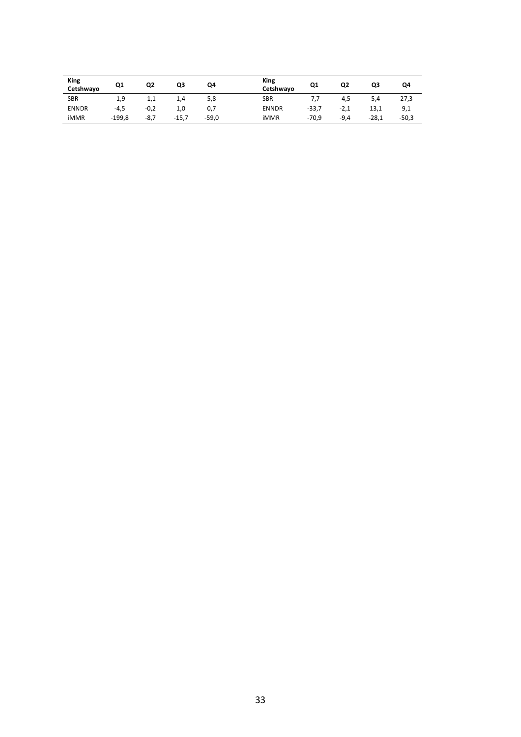| <b>King</b><br>Cetshwayo | Q1       | Q2     | Q3      | Q4      | <b>King</b><br>Cetshwayo | Q1      | Q2     | Q3      | Q4      |
|--------------------------|----------|--------|---------|---------|--------------------------|---------|--------|---------|---------|
| <b>SBR</b>               | $-1,9$   | $-1,1$ | 1,4     | 5,8     | <b>SBR</b>               | $-7,7$  | -4,5   | 5,4     | 27,3    |
| <b>ENNDR</b>             | $-4,5$   | $-0,2$ | 1,0     | 0,7     | <b>ENNDR</b>             | $-33,7$ | $-2,1$ | 13,1    | 9,1     |
| iMMR                     | $-199.8$ | $-8,7$ | $-15,7$ | $-59,0$ | <b>iMMR</b>              | $-70,9$ | $-9,4$ | $-28,1$ | $-50,3$ |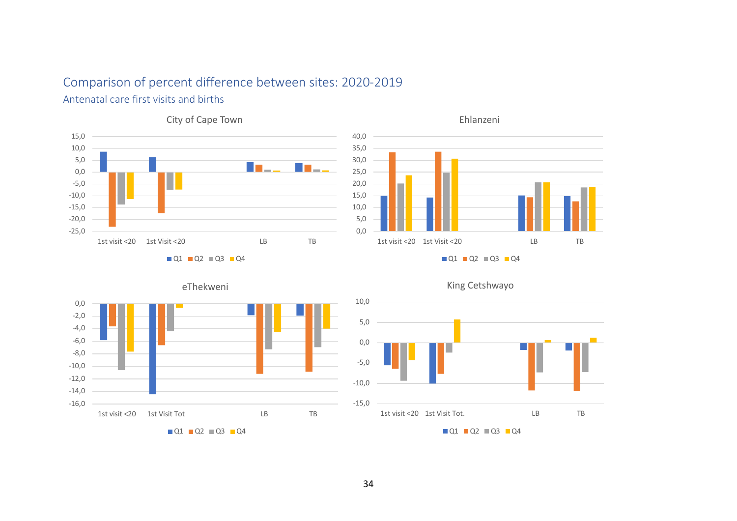### Comparison of percent difference between sites: 2020-2019

### Antenatal care first visits and births





 $\blacksquare$  Q1  $\blacksquare$  Q2  $\blacksquare$  Q3  $\blacksquare$  Q4





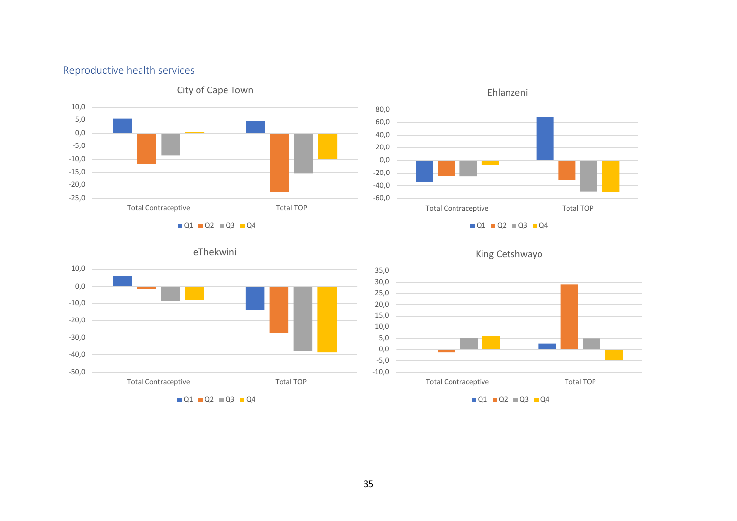### Reproductive health services





eThekwini





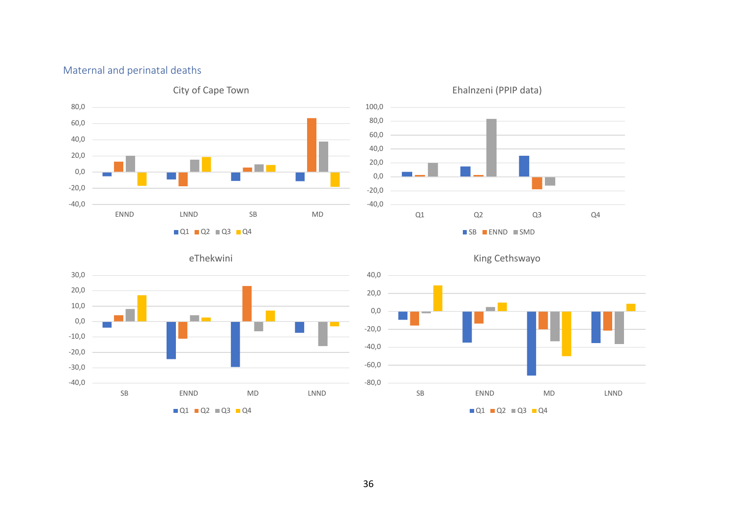### Maternal and perinatal deaths





eThekwini 30,0 20,0 10,0 a a bh 0,0 -10,0 -20,0 -30,0 -40,0 SB ENND MD LNND

 $\blacksquare$  Q1  $\blacksquare$  Q2  $\blacksquare$  Q3  $\blacksquare$  Q4

King Cethswayo

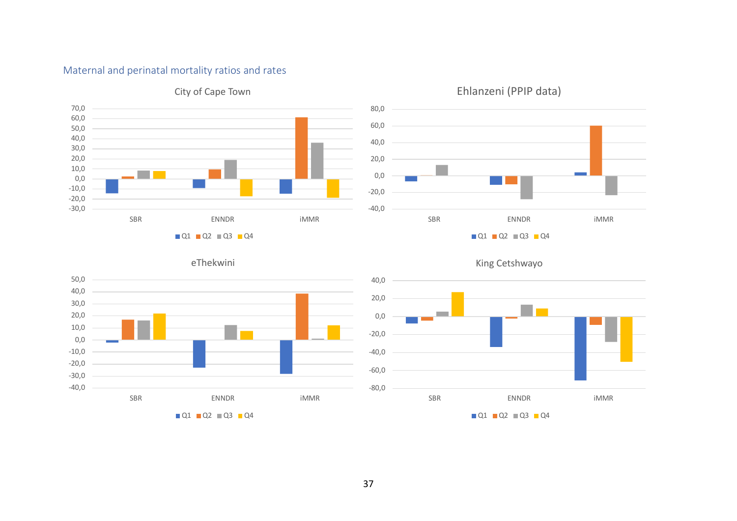### Maternal and perinatal mortality ratios and rates



### City of Cape Town



### Ehlanzeni (PPIP data)



### King Cetshwayo

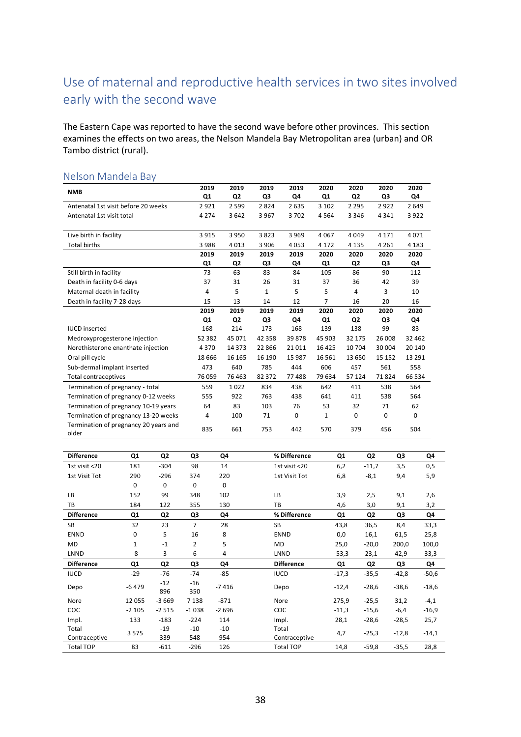## Use of maternal and reproductive health services in two sites involved early with the second wave

The Eastern Cape was reported to have the second wave before other provinces. This section examines the effects on two areas, the Nelson Mandela Bay Metropolitan area (urban) and OR Tambo district (rural).

| <b>NMB</b>                                     | 2019           | 2019                   | 2019         | 2019         | 2020          | 2020                      | 2020       | 2020        |
|------------------------------------------------|----------------|------------------------|--------------|--------------|---------------|---------------------------|------------|-------------|
| Antenatal 1st visit before 20 weeks            | Q1<br>2921     | Q <sub>2</sub><br>2599 | Q3<br>2824   | Q4<br>2635   | Q1<br>3 1 0 2 | Q <sub>2</sub><br>2 2 9 5 | Q3<br>2922 | Q4<br>2649  |
| Antenatal 1st visit total                      | 4 2 7 4        | 3642                   | 3 9 6 7      | 3702         | 4564          | 3 3 4 6                   | 4341       | 3922        |
|                                                |                |                        |              |              |               |                           |            |             |
| Live birth in facility                         | 3915           | 3950                   | 3823         | 3969         | 4067          | 4049                      | 4 1 7 1    | 4071        |
| <b>Total births</b>                            | 3988           | 4013                   | 3 9 0 6      | 4053         | 4 1 7 2       | 4 1 3 5                   | 4 2 6 1    | 4 1 8 3     |
|                                                | 2019           | 2019                   | 2019         | 2019         | 2020          | 2020                      | 2020       | 2020        |
|                                                | Q1             | Q <sub>2</sub>         | Q3           | Q4           | Q1            | Q <sub>2</sub>            | Q3         | Q4          |
| Still birth in facility                        | 73             | 63                     | 83           | 84           | 105           | 86                        | 90         | 112         |
| Death in facility 0-6 days                     | 37             | 31                     | 26           | 31           | 37            | 36                        | 42         | 39          |
| Maternal death in facility                     | 4              | 5                      | $\mathbf{1}$ | 5            | 5             | 4                         | 3          | 10          |
| Death in facility 7-28 days                    | 15             | 13                     | 14           | 12           | 7             | 16                        | 20         | 16          |
|                                                | 2019           | 2019                   | 2019         | 2019         | 2020          | 2020                      | 2020       | 2020        |
|                                                | Q <sub>1</sub> | Q <sub>2</sub>         | Q3           | Q4           | Q1            | Q <sub>2</sub>            | Q3         | Q4          |
| <b>IUCD</b> inserted                           | 168            | 214                    | 173          | 168          | 139           | 138                       | 99         | 83          |
| Medroxyprogesterone injection                  | 52 382         | 45 0 71                | 42 3 58      | 39878        | 45 903        | 32 175                    | 26 008     | 32 462      |
| Norethisterone enanthate injection             | 4370           | 14 3 7 3               | 22 8 66      | 21011        | 16 4 25       | 10 704                    | 30 004     | 20 140      |
| Oral pill cycle                                | 18 6 66        | 16 16 5                | 16 190       | 15 987       | 16 5 61       | 13 650                    | 15 15 2    | 13 29 1     |
| Sub-dermal implant inserted                    | 473            | 640                    | 785          | 444          | 606           | 457                       | 561        | 558         |
| <b>Total contraceptives</b>                    | 76 059         | 76 4 63                | 82 372       | 77488        | 79 634        | 57 124                    | 71824      | 66 534      |
| Termination of pregnancy - total               | 559            | 1022                   | 834          | 438          | 642           | 411                       | 538        | 564         |
| Termination of pregnancy 0-12 weeks            | 555            | 922                    | 763          | 438          | 641           | 411                       | 538        | 564         |
| Termination of pregnancy 10-19 years           | 64             | 83                     | 103          | 76           | 53            | 32                        | 71         | 62          |
| Termination of pregnancy 13-20 weeks           | 4              | 100                    | 71           | $\mathbf{0}$ | $\mathbf{1}$  | $\mathbf 0$               | 0          | $\mathbf 0$ |
| Termination of pregnancy 20 years and<br>older | 835            | 661                    | 753          | 442          | 570           | 379                       | 456        | 504         |

#### Nelson Mandela Bay

| <b>Difference</b> | Q1      | Q2             | Q3             | Q4      | % Difference      | Q <sub>1</sub> | Q <sub>2</sub> | Q3      | Q4      |
|-------------------|---------|----------------|----------------|---------|-------------------|----------------|----------------|---------|---------|
| 1st visit <20     | 181     | $-304$         | 98             | 14      | 1st visit <20     | 6,2            | $-11,7$        | 3,5     | 0,5     |
| 1st Visit Tot     | 290     | $-296$         | 374            | 220     | 1st Visit Tot     | 6,8            | $-8,1$         | 9,4     | 5,9     |
|                   | 0       | 0              | $\mathbf 0$    | 0       |                   |                |                |         |         |
| LB                | 152     | 99             | 348            | 102     | LB                | 3,9            | 2,5            | 9,1     | 2,6     |
| TB                | 184     | 122            | 355            | 130     | TB                | 4,6            | 3,0            | 9,1     | 3,2     |
| <b>Difference</b> | Q1      | Q <sub>2</sub> | Q3             | Q4      | % Difference      | Q <sub>1</sub> | Q <sub>2</sub> | Q3      | Q4      |
| SB                | 32      | 23             | $\overline{7}$ | 28      | <b>SB</b>         | 43,8           | 36,5           | 8,4     | 33,3    |
| <b>ENND</b>       | 0       | 5              | 16             | 8       | <b>ENND</b>       | 0,0            | 16,1           | 61,5    | 25,8    |
| MD                | 1       | $-1$           | $\overline{2}$ | 5       | <b>MD</b>         | 25,0           | $-20,0$        | 200,0   | 100,0   |
| LNND              | -8      | 3              | 6              | 4       | LNND              | $-53,3$        | 23,1           | 42,9    | 33,3    |
| <b>Difference</b> | Q1      | Q2             | Q3             | Q4      | <b>Difference</b> | Q <sub>1</sub> | Q2             | Q3      | Q4      |
| <b>IUCD</b>       | $-29$   | -76            | $-74$          | $-85$   | <b>IUCD</b>       | $-17,3$        | $-35,5$        | $-42,8$ | $-50,6$ |
| Depo              | $-6479$ | $-12$<br>896   | $-16$<br>350   | $-7416$ | Depo              | $-12,4$        | $-28,6$        | $-38,6$ | $-18,6$ |
| Nore              | 12 0 55 | $-3669$        | 7 1 3 8        | $-871$  | Nore              | 275,9          | $-25,5$        | 31,2    | $-4,1$  |
| <b>COC</b>        | $-2105$ | $-2515$        | $-1038$        | $-2696$ | COC               | $-11,3$        | $-15,6$        | $-6,4$  | $-16,9$ |
| Impl.             | 133     | $-183$         | $-224$         | 114     | Impl.             | 28,1           | $-28,6$        | $-28,5$ | 25,7    |
| Total             | 3575    | $-19$          | $-10$          | $-10$   | Total             |                |                |         |         |
| Contraceptive     |         | 339            | 548            | 954     | Contraceptive     | 4,7            | $-25,3$        | $-12,8$ | $-14,1$ |
| <b>Total TOP</b>  | 83      | $-611$         | $-296$         | 126     | <b>Total TOP</b>  | 14,8           | $-59,8$        | $-35,5$ | 28,8    |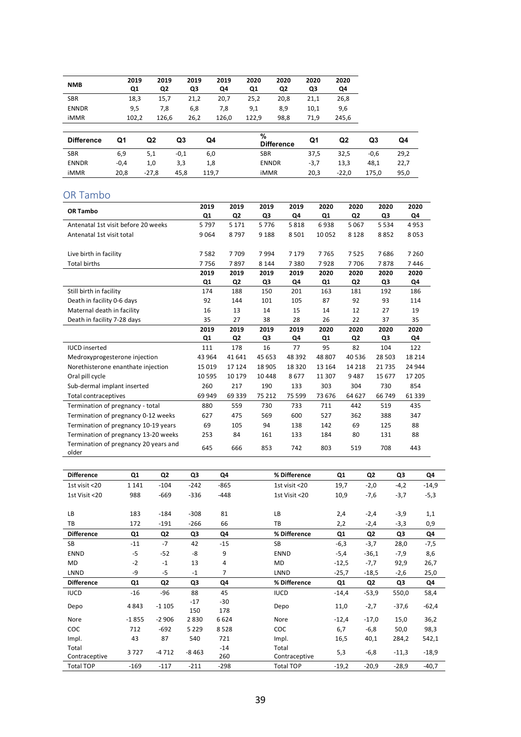| <b>NMB</b>   | 2019<br>Q1 | 2019<br>Q2 | 2019<br>Q3 | 2019<br>Q4 | 2020<br>Q1 | 2020<br>Q2 | 2020<br>QЗ | 2020<br>Q4 |
|--------------|------------|------------|------------|------------|------------|------------|------------|------------|
| <b>SBR</b>   | 18,3       | 15,7       | 21,2       | 20,7       | 25.2       | 20,8       | 21,1       | 26,8       |
| <b>ENNDR</b> | 9,5        | 7.8        | 6,8        | 7,8        | 9,1        | 8,9        | 10,1       | 9,6        |
| <b>iMMR</b>  | 102,2      | 126.6      | 26,2       | 126,0      | 122.9      | 98,8       | 71,9       | 245,6      |
|              |            |            |            |            |            |            |            |            |

| <b>Difference</b> | Q1     | Q2      | Q3     | Q4    | %<br><b>Difference</b> | Q1     | Q2      | Q3     | Q4   |
|-------------------|--------|---------|--------|-------|------------------------|--------|---------|--------|------|
| <b>SBR</b>        | 6,9    | 5,1     | $-0,1$ | 6,0   | <b>SBR</b>             | 37,5   | 32,5    | $-0,6$ | 29,2 |
| <b>ENNDR</b>      | $-0,4$ | 1,0     | 3,3    | 1,8   | <b>ENNDR</b>           | $-3,7$ | 13,3    | 48,1   | 22,7 |
| iMMR              | 20,8   | $-27,8$ | 45,8   | 119,7 | <b>iMMR</b>            | 20,3   | $-22,0$ | 175,0  | 95,0 |

### OR Tambo

| OR Tambo                                       | 2019     | 2019           | 2019    | 2019    | 2020           | 2020           | 2020    | 2020    |
|------------------------------------------------|----------|----------------|---------|---------|----------------|----------------|---------|---------|
|                                                | Q1       | Q <sub>2</sub> | Q3      | Q4      | Q1             | Q <sub>2</sub> | Q3      | Q4      |
| Antenatal 1st visit before 20 weeks            | 5797     | 5 1 7 1        | 5776    | 5818    | 6938           | 5067           | 5 5 3 4 | 4953    |
| Antenatal 1st visit total                      | 9064     | 8797           | 9 1 8 8 | 8501    | 10 052         | 8 1 2 8        | 8852    | 8053    |
|                                                |          |                |         |         |                |                |         |         |
| Live birth in facility                         | 7582     | 7709           | 7994    | 7 1 7 9 | 7765           | 7525           | 7686    | 7 2 6 0 |
| <b>Total births</b>                            | 7756     | 7897           | 8 1 4 4 | 7380    | 7928           | 7706           | 7878    | 7446    |
|                                                | 2019     | 2019           | 2019    | 2019    | 2020           | 2020           | 2020    | 2020    |
|                                                | Q1       | Q <sub>2</sub> | Q3      | Q4      | Q <sub>1</sub> | Q <sub>2</sub> | Q3      | Q4      |
| Still birth in facility                        | 174      | 188            | 150     | 201     | 163            | 181            | 192     | 186     |
| Death in facility 0-6 days                     | 92       | 144            | 101     | 105     | 87             | 92             | 93      | 114     |
| Maternal death in facility                     | 16       | 13             | 14      | 15      | 14             | 12             | 27      | 19      |
| Death in facility 7-28 days                    | 35       | 27             | 38      | 28      | 26             | 22             | 37      | 35      |
|                                                | 2019     | 2019           | 2019    | 2019    | 2020           | 2020           | 2020    | 2020    |
|                                                | Q1       | Q <sub>2</sub> | Q3      | Q4      | Q1             | Q2             | Q3      | Q4      |
| <b>IUCD</b> inserted                           | 111      | 178            | 16      | 77      | 95             | 82             | 104     | 122     |
| Medroxyprogesterone injection                  | 43 964   | 41 641         | 45 653  | 48 392  | 48 807         | 40 536         | 28 503  | 18 2 14 |
| Norethisterone enanthate injection             | 15 0 19  | 17 124         | 18 905  | 18 3 20 | 13 164         | 14 2 18        | 21735   | 24 944  |
| Oral pill cycle                                | 10 5 9 5 | 10 179         | 10448   | 8677    | 11 307         | 9487           | 15 677  | 17 205  |
| Sub-dermal implant inserted                    | 260      | 217            | 190     | 133     | 303            | 304            | 730     | 854     |
| Total contraceptives                           | 69 949   | 69 339         | 75 212  | 75 599  | 73 676         | 64 627         | 66 749  | 61 339  |
| Termination of pregnancy - total               | 880      | 559            | 730     | 733     | 711            | 442            | 519     | 435     |
| Termination of pregnancy 0-12 weeks            | 627      | 475            | 569     | 600     | 527            | 362            | 388     | 347     |
| Termination of pregnancy 10-19 years           | 69       | 105            | 94      | 138     | 142            | 69             | 125     | 88      |
| Termination of pregnancy 13-20 weeks           | 253      | 84             | 161     | 133     | 184            | 80             | 131     | 88      |
| Termination of pregnancy 20 years and<br>older | 645      | 666            | 853     | 742     | 803            | 519            | 708     | 443     |

| <b>Difference</b> | Q <sub>1</sub> | Q2             | Q3           | Q4         | % Difference     | Q1      | Q <sub>2</sub> | Q3      | Q4      |
|-------------------|----------------|----------------|--------------|------------|------------------|---------|----------------|---------|---------|
| 1st visit <20     | 1 1 4 1        | $-104$         | $-242$       | $-865$     | 1st visit <20    | 19,7    | $-2,0$         | $-4,2$  | $-14,9$ |
| 1st Visit <20     | 988            | $-669$         | $-336$       | $-448$     | 1st Visit <20    | 10,9    | $-7,6$         | $-3,7$  | $-5,3$  |
|                   |                |                |              |            |                  |         |                |         |         |
| LB                | 183            | $-184$         | $-308$       | 81         | LB               | 2,4     | $-2,4$         | $-3,9$  | 1,1     |
| ТB                | 172            | $-191$         | $-266$       | 66         | TB               | 2,2     | $-2,4$         | $-3,3$  | 0,9     |
| <b>Difference</b> | Q1             | Q <sub>2</sub> | Q3           | Q4         | % Difference     | Q1      | Q <sub>2</sub> | Q3      | Q4      |
| <b>SB</b>         | $-11$          | $-7$           | 42           | $-15$      | <b>SB</b>        | $-6,3$  | $-3,7$         | 28,0    | $-7,5$  |
| <b>ENND</b>       | $-5$           | $-52$          | $-8$         | 9          | <b>ENND</b>      | $-5,4$  | $-36,1$        | $-7,9$  | 8,6     |
| MD                | $-2$           | $-1$           | 13           | 4          | MD               | $-12,5$ | $-7,7$         | 92,9    | 26,7    |
| LNND              | -9             | $-5$           | $-1$         | 7          | LNND             | $-25,7$ | $-18,5$        | $-2,6$  | 25,0    |
| <b>Difference</b> | Q1             | Q2             | Q3           | Q4         | % Difference     | Q1      | Q <sub>2</sub> | Q3      | Q4      |
| <b>IUCD</b>       | $-16$          | $-96$          | 88           | 45         | <b>IUCD</b>      | $-14,4$ | $-53,9$        | 550,0   | 58,4    |
| Depo              | 4843           | $-1105$        | $-17$<br>150 | -30<br>178 | Depo             | 11,0    | $-2,7$         | $-37,6$ | $-62,4$ |
| Nore              | $-1855$        | $-2906$        | 2830         | 6624       | Nore             | $-12,4$ | $-17,0$        | 15,0    | 36,2    |
| <b>COC</b>        | 712            | $-692$         | 5 2 2 9      | 8528       | COC              | 6,7     | $-6,8$         | 50,0    | 98,3    |
| Impl.             | 43             | 87             | 540          | 721        | Impl.            | 16,5    | 40,1           | 284,2   | 542,1   |
| Total             | 3727           | $-4712$        | $-8463$      | $-14$      | Total            | 5,3     | $-6,8$         | $-11,3$ | $-18,9$ |
| Contraceptive     |                |                |              | 260        | Contraceptive    |         |                |         |         |
| <b>Total TOP</b>  | $-169$         | $-117$         | $-211$       | $-298$     | <b>Total TOP</b> | $-19,2$ | $-20,9$        | $-28,9$ | $-40,7$ |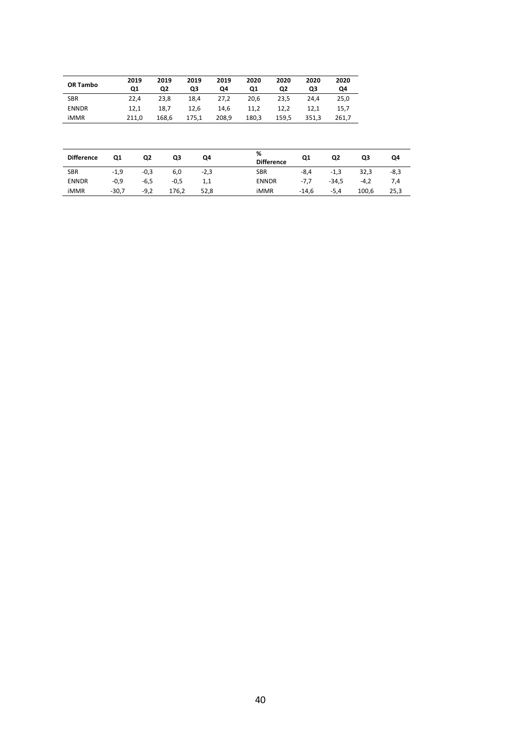| OR Tambo          |        | 2019<br>Q1 | 2019<br>Q2 | 2019<br>Q3 | 2019<br>Q4 | 2020<br>Q1   | 2020<br>Q2        | 2020<br>Q3 | 2020<br>Q4     |        |        |
|-------------------|--------|------------|------------|------------|------------|--------------|-------------------|------------|----------------|--------|--------|
| <b>SBR</b>        |        | 22,4       | 23,8       | 18,4       | 27,2       | 20,6         | 23,5              | 24,4       | 25,0           |        |        |
| <b>ENNDR</b>      |        | 12,1       | 18,7       | 12,6       | 14,6       | 11,2         | 12,2              | 12,1       | 15,7           |        |        |
| iMMR              |        | 211,0      | 168,6      | 175,1      | 208,9      | 180,3        | 159,5             | 351,3      | 261,7          |        |        |
|                   |        |            |            |            |            |              |                   |            |                |        |        |
| <b>Difference</b> | Q1     | Q2         | Q3         | Q4         |            | ℅            | <b>Difference</b> | Q1         | Q <sub>2</sub> | Q3     | Q4     |
| <b>SBR</b>        | $-1,9$ | $-0,3$     | 6,0        | $-2,3$     |            | <b>SBR</b>   |                   | $-8,4$     | $-1,3$         | 32,3   | $-8,3$ |
| <b>ENNDR</b>      | $-0,9$ | $-6,5$     | $-0,5$     | 1,1        |            | <b>ENNDR</b> |                   | $-7,7$     | $-34,5$        | $-4,2$ | 7,4    |

iMMR -30,7 -9,2 176,2 52,8 iMMR -14,6 -5,4 100,6 25,3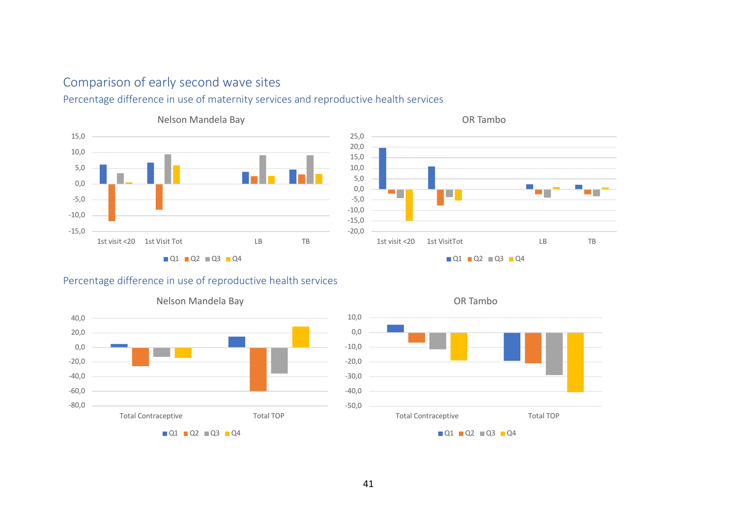### Comparison of early second wave sites

### Percentage difference in use of maternity services and reproductive health services





### Percentage difference in use of reproductive health services



#### Nelson Mandela Bay

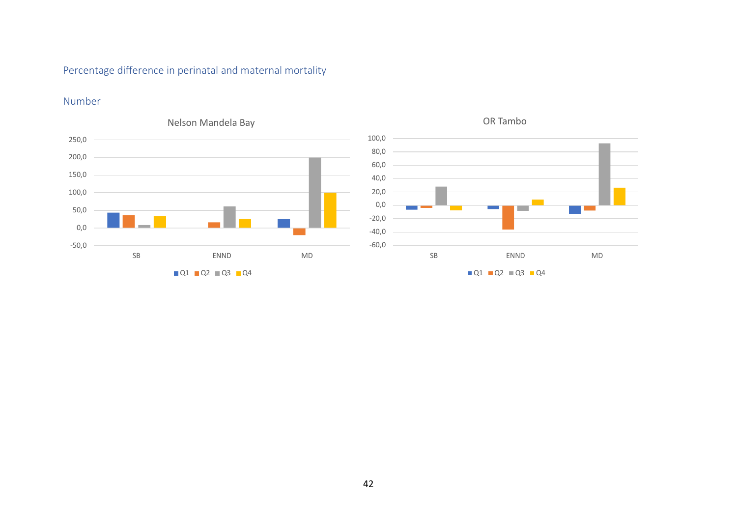### Percentage difference in perinatal and maternal mortality

### Number



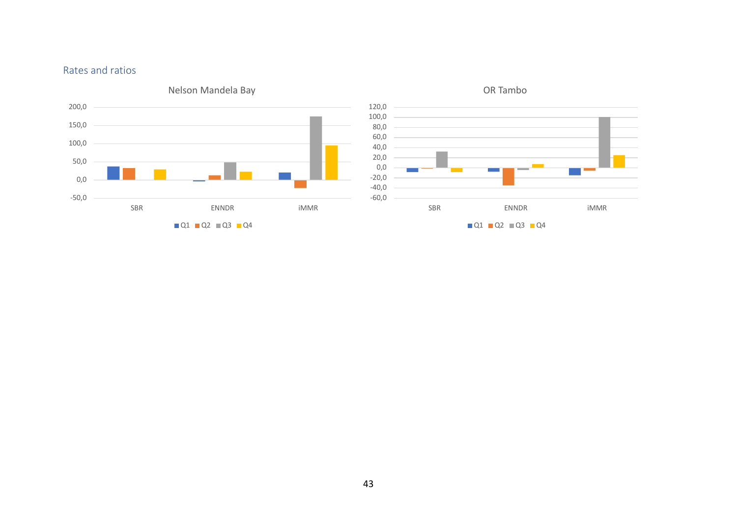### Rates and ratios





43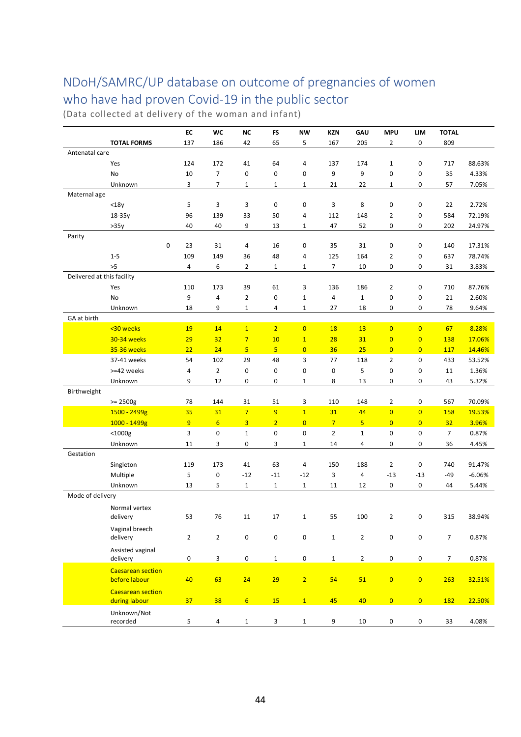## NDoH/SAMRC/UP database on outcome of pregnancies of women who have had proven Covid-19 in the public sector

(Data collected at delivery of the woman and infant)

|                            |                                           | EC                  | WC                      | ΝC                      | FS                      | NW             | <b>KZN</b>       | GAU          | <b>MPU</b>              | LIM                     | <b>TOTAL</b>    |          |
|----------------------------|-------------------------------------------|---------------------|-------------------------|-------------------------|-------------------------|----------------|------------------|--------------|-------------------------|-------------------------|-----------------|----------|
|                            | <b>TOTAL FORMS</b>                        | 137                 | 186                     | 42                      | 65                      | 5              | 167              | 205          | $\overline{2}$          | 0                       | 809             |          |
| Antenatal care             |                                           |                     |                         |                         |                         |                |                  |              |                         |                         |                 |          |
|                            | Yes                                       | 124                 | 172                     | 41                      | 64                      | 4              | 137              | 174          | $\mathbf{1}$            | $\pmb{0}$               | 717             | 88.63%   |
|                            | No                                        | 10                  | 7                       | 0                       | $\mathbf 0$             | 0              | 9                | 9            | $\mathbf 0$             | 0                       | 35              | 4.33%    |
|                            | Unknown                                   | 3                   | 7                       | 1                       | 1                       | 1              | 21               | 22           | 1                       | 0                       | 57              | 7.05%    |
| Maternal age               |                                           |                     |                         |                         |                         |                |                  |              |                         |                         |                 |          |
|                            | $<$ 18 $y$                                | 5                   | 3                       | 3                       | 0                       | 0              | 3                | 8            | 0                       | 0                       | 22              | 2.72%    |
|                            | 18-35y                                    | 96                  | 139                     | 33                      | 50                      | 4              | 112              | 148          | 2                       | 0                       | 584             | 72.19%   |
|                            | >35y                                      | 40                  | 40                      | 9                       | 13                      | 1              | 47               | 52           | 0                       | 0                       | 202             | 24.97%   |
| Parity                     |                                           |                     |                         |                         |                         |                |                  |              |                         |                         |                 |          |
|                            | 0                                         | 23                  | 31                      | 4                       | 16                      | 0              | 35               | 31           | $\mathbf 0$             | 0                       | 140             | 17.31%   |
|                            | $1 - 5$                                   | 109                 | 149                     | 36                      | 48                      | 4              | 125              | 164          | $\overline{2}$          | 0                       | 637             | 78.74%   |
|                            | >5                                        | 4                   | 6                       | $\overline{2}$          | 1                       | 1              | $\overline{7}$   | 10           | 0                       | 0                       | 31              | 3.83%    |
| Delivered at this facility |                                           |                     |                         |                         |                         |                |                  |              |                         |                         |                 |          |
|                            | Yes                                       | 110                 | 173                     | 39                      | 61                      | 3              | 136              | 186          | $\overline{2}$          | 0                       | 710             | 87.76%   |
|                            | No                                        | 9                   | 4                       | $\overline{2}$          | 0                       | 1              | 4                | $\mathbf{1}$ | $\mathbf 0$             | 0                       | 21              | 2.60%    |
|                            | Unknown                                   | 18                  | 9                       | 1                       | 4                       | 1              | 27               | 18           | 0                       | 0                       | 78              | 9.64%    |
| GA at birth                |                                           |                     |                         |                         |                         |                |                  |              |                         |                         |                 |          |
|                            | <30 weeks                                 | 19                  | 14                      | $\overline{1}$          | $\overline{2}$          | $\overline{0}$ | 18               | 13           | $\overline{0}$          | $\overline{0}$          | 67              | 8.28%    |
|                            | 30-34 weeks                               | 29                  | 32                      | $\overline{7}$          | 10                      | $\mathbf{1}$   | 28               | 31           | $\overline{0}$          | $\overline{0}$          | 138             | 17.06%   |
|                            | <b>35-36 weeks</b>                        | 22                  | 24                      | $\overline{\mathbf{5}}$ | $\overline{\mathbf{5}}$ | $\overline{0}$ | 36               | 25           | $\overline{0}$          | $\overline{0}$          | 117             | 14.46%   |
|                            | 37-41 weeks                               | 54                  | 102                     | 29                      | 48                      | 3              | 77               | 118          | $\overline{2}$          | $\mathbf 0$             | 433             | 53.52%   |
|                            | >=42 weeks                                | 4                   | $\overline{2}$          | 0                       | 0                       | $\mathbf 0$    | $\mathbf 0$      | 5            | $\mathbf 0$             | 0                       | 11              | 1.36%    |
|                            | Unknown                                   | 9                   | 12                      | 0                       | 0                       | 1              | 8                | 13           | 0                       | 0                       | 43              | 5.32%    |
| Birthweight                |                                           |                     |                         |                         |                         |                |                  |              |                         |                         |                 |          |
|                            | $>= 2500g$                                | 78                  | 144                     | 31                      | 51                      | 3              | 110              | 148          | $\overline{2}$          | 0                       | 567             | 70.09%   |
|                            | 1500 - 2499g                              | 35                  | 31                      | $\overline{7}$          | $\overline{9}$          | $\mathbf{1}$   | 31               | 44           | $\overline{0}$          | $\overline{0}$          | 158             | 19.53%   |
|                            | 1000 - 1499g                              | 9                   | $6 \overline{6}$        | $\overline{3}$          | $\overline{2}$          | $\overline{0}$ | $\overline{7}$   | 5            | $\overline{0}$          | $\overline{0}$          | 32              | 3.96%    |
|                            | $<$ 1000g                                 | 3                   | 0                       | $\mathbf 1$             | 0                       | 0              | $\overline{2}$   | $\mathbf 1$  | 0                       | $\mathbf 0$             | $\overline{7}$  | 0.87%    |
| Gestation                  | Unknown                                   | 11                  | 3                       | 0                       | 3                       | 1              | 14               | 4            | 0                       | 0                       | 36              | 4.45%    |
|                            |                                           |                     |                         |                         |                         |                |                  |              |                         |                         |                 |          |
|                            | Singleton                                 | 119                 | 173                     | 41                      | 63                      | 4              | 150              | 188          | $\overline{2}$          | 0                       | 740             | 91.47%   |
|                            | Multiple                                  | 5                   | 0                       | $-12$                   | $-11$                   | $-12$          | 3                | 4            | $-13$<br>0              | $-13$                   | $-49$           | $-6.06%$ |
| Mode of delivery           | Unknown                                   | 13                  | 5                       | $\mathbf{1}$            | $\mathbf{1}$            | $\mathbf 1$    | 11               | 12           |                         | 0                       | 44              | 5.44%    |
|                            |                                           |                     |                         |                         |                         |                |                  |              |                         |                         |                 |          |
|                            | Normal vertex<br>delivery                 | 53                  | 76                      | 11                      | 17                      | $\mathbf{1}$   | 55               | 100          | $\mathcal{P}$           | $\Omega$                | 315             | 38.94%   |
|                            |                                           |                     |                         |                         |                         |                |                  |              |                         |                         |                 |          |
|                            | Vaginal breech<br>delivery                | $\overline{2}$      | $\overline{2}$          | $\pmb{0}$               | $\pmb{0}$               | $\pmb{0}$      | $\mathbf 1$      | $\mathbf 2$  | 0                       | $\pmb{0}$               | $\overline{7}$  | 0.87%    |
|                            |                                           |                     |                         |                         |                         |                |                  |              |                         |                         |                 |          |
|                            | Assisted vaginal<br>delivery              | $\mathsf{O}\xspace$ | $\overline{\mathbf{3}}$ | $\pmb{0}$               | $\mathbf 1$             | $\pmb{0}$      | $\mathbf{1}$     | $\mathbf{2}$ | $\mathsf 0$             | $\pmb{0}$               | $7\overline{ }$ | 0.87%    |
|                            |                                           |                     |                         |                         |                         |                |                  |              |                         |                         |                 |          |
|                            | <b>Caesarean section</b><br>before labour | 40                  | 63                      | 24                      | 29                      | $\overline{2}$ | 54               | 51           | $\overline{\mathbf{0}}$ | $\mathbf{0}$            | 263             | 32.51%   |
|                            |                                           |                     |                         |                         |                         |                |                  |              |                         |                         |                 |          |
|                            | <b>Caesarean section</b><br>during labour | 37                  | 38                      | $6 \overline{}$         | 15                      | $\mathbf{1}$   | 45               | 40           | $\overline{\mathbf{0}}$ | $\overline{\mathbf{0}}$ | <b>182</b>      | 22.50%   |
|                            | Unknown/Not                               |                     |                         |                         |                         |                |                  |              |                         |                         |                 |          |
|                            | recorded                                  | 5                   | $\overline{4}$          | $\mathbf 1$             | $\mathbf{3}$            | $\mathbf{1}$   | $\boldsymbol{9}$ | $10\,$       | $\pmb{0}$               | $\mathbf 0$             | 33              | 4.08%    |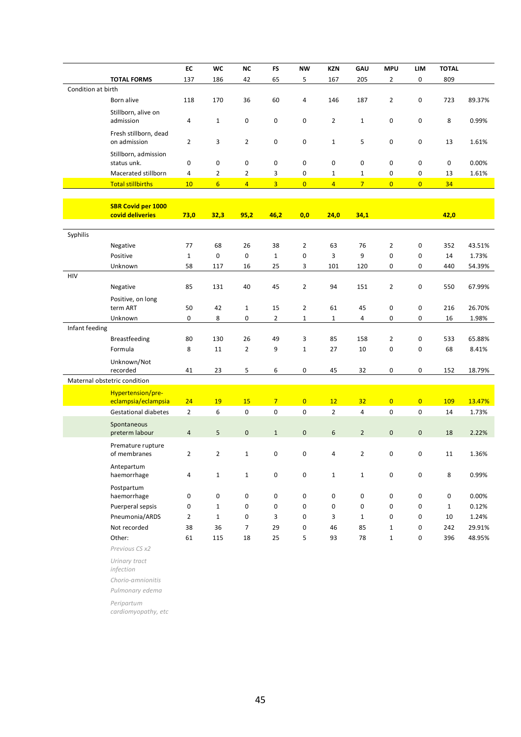|                    |                                       | ${\sf EC}$     | <b>WC</b>        | <b>NC</b>      | <b>FS</b>      | <b>NW</b>           | <b>KZN</b>       | GAU            | <b>MPU</b>     | LIM                 | <b>TOTAL</b> |        |
|--------------------|---------------------------------------|----------------|------------------|----------------|----------------|---------------------|------------------|----------------|----------------|---------------------|--------------|--------|
|                    | <b>TOTAL FORMS</b>                    | 137            | 186              | 42             | 65             | 5                   | 167              | 205            | $\overline{2}$ | 0                   | 809          |        |
| Condition at birth |                                       |                |                  |                |                |                     |                  |                |                |                     |              |        |
|                    | Born alive                            | 118            | 170              | 36             | 60             | 4                   | 146              | 187            | $\overline{2}$ | $\pmb{0}$           | 723          | 89.37% |
|                    | Stillborn, alive on<br>admission      | 4              | $\mathbf{1}$     | 0              | 0              | $\pmb{0}$           | $\overline{2}$   | $\mathbf{1}$   | $\mathbf 0$    | $\pmb{0}$           | 8            | 0.99%  |
|                    | Fresh stillborn, dead<br>on admission | 2              | 3                | $\overline{2}$ | 0              | $\pmb{0}$           | $\mathbf{1}$     | 5              | $\mathbf 0$    | $\pmb{0}$           | 13           | 1.61%  |
|                    | Stillborn, admission<br>status unk.   | 0              | 0                | 0              | 0              | 0                   | 0                | 0              | 0              | 0                   | 0            | 0.00%  |
|                    | Macerated stillborn                   | 4              | $\overline{2}$   | 2              | 3              | 0                   | $\mathbf{1}$     | $\mathbf{1}$   | 0              | 0                   | 13           | 1.61%  |
|                    | <b>Total stillbirths</b>              | 10             | $6 \overline{6}$ | $\overline{4}$ | $\overline{3}$ | $\overline{0}$      | $\overline{4}$   | $\overline{7}$ | $\overline{0}$ | $\overline{0}$      | 34           |        |
|                    |                                       |                |                  |                |                |                     |                  |                |                |                     |              |        |
|                    | <b>SBR Covid per 1000</b>             |                |                  |                |                |                     |                  |                |                |                     |              |        |
|                    | covid deliveries                      | 73,0           | 32,3             | 95,2           | 46,2           | 0,0                 | 24,0             | 34,1           |                |                     | 42,0         |        |
|                    |                                       |                |                  |                |                |                     |                  |                |                |                     |              |        |
| Syphilis           |                                       |                |                  |                |                |                     |                  |                |                |                     |              |        |
|                    | Negative                              | 77             | 68               | 26             | 38             | $\overline{2}$      | 63               | 76             | $\overline{2}$ | 0                   | 352          | 43.51% |
|                    | Positive                              | $\mathbf{1}$   | 0                | $\pmb{0}$      | $\mathbf{1}$   | $\mathbf 0$         | 3                | 9              | $\mathbf 0$    | 0                   | 14           | 1.73%  |
|                    | Unknown                               | 58             | 117              | 16             | 25             | 3                   | 101              | 120            | $\mathbf 0$    | 0                   | 440          | 54.39% |
| HIV                |                                       |                |                  |                |                |                     |                  |                |                |                     |              |        |
|                    | Negative                              | 85             | 131              | 40             | 45             | $\overline{2}$      | 94               | 151            | $\overline{2}$ | 0                   | 550          | 67.99% |
|                    | Positive, on long<br>term ART         | 50             | 42               | $\mathbf 1$    | 15             | $\mathbf{2}$        | 61               | 45             | 0              | 0                   | 216          | 26.70% |
|                    | Unknown                               | 0              | 8                | 0              | $\overline{2}$ | $\mathbf 1$         | $\mathbf{1}$     | 4              | 0              | 0                   | 16           | 1.98%  |
| Infant feeding     |                                       |                |                  |                |                |                     |                  |                |                |                     |              |        |
|                    | Breastfeeding                         | 80             | 130              | 26             | 49             | 3                   | 85               | 158            | $\overline{2}$ | 0                   | 533          | 65.88% |
|                    | Formula                               | 8              | 11               | $\overline{2}$ | 9              | $\mathbf 1$         | 27               | 10             | $\mathbf 0$    | 0                   | 68           | 8.41%  |
|                    | Unknown/Not<br>recorded               | 41             | 23               | 5              | 6              | 0                   | 45               | 32             | 0              | 0                   | 152          |        |
|                    | Maternal obstetric condition          |                |                  |                |                |                     |                  |                |                |                     |              | 18.79% |
|                    | Hypertension/pre-                     |                |                  |                |                |                     |                  |                |                |                     |              |        |
|                    | eclampsia/eclampsia                   | 24             | 19               | 15             | $\overline{7}$ | $\overline{0}$      | 12               | 32             | $\overline{0}$ | $\overline{0}$      | <b>109</b>   | 13.47% |
|                    | <b>Gestational diabetes</b>           | $\overline{2}$ | 6                | $\pmb{0}$      | 0              | 0                   | $\overline{2}$   | 4              | $\mathbf 0$    | $\pmb{0}$           | 14           | 1.73%  |
|                    | Spontaneous<br>preterm labour         | $\overline{4}$ | 5                | $\mathbf 0$    | $\mathbf{1}$   | $\mathsf{O}\xspace$ | $\boldsymbol{6}$ | $\overline{2}$ | $\mathbf 0$    | $\mathsf{O}\xspace$ | 18           | 2.22%  |
|                    | Premature rupture<br>of membranes     | $\overline{2}$ | $\mathcal{P}$    | 1              | $\Omega$       | $\Omega$            | 4                | $\mathcal{P}$  | $\Omega$       | <sup>n</sup>        | 11           | 1.36%  |
|                    | Antepartum<br>haemorrhage             | 4              | $\mathbf{1}$     | $\mathbf{1}$   | 0              | 0                   | $\mathbf{1}$     | $\mathbf{1}$   | 0              | $\pmb{0}$           | 8            | 0.99%  |
|                    | Postpartum<br>haemorrhage             | 0              | 0                | 0              | 0              | 0                   | 0                | 0              | 0              | 0                   | $\mathbf 0$  | 0.00%  |
|                    | Puerperal sepsis                      | 0              | $\mathbf 1$      | 0              | 0              | 0                   | 0                | 0              | 0              | 0                   | $\mathbf{1}$ | 0.12%  |
|                    | Pneumonia/ARDS                        | 2              | $\mathbf{1}$     | 0              | 3              | 0                   | 3                | $\mathbf{1}$   | 0              | 0                   | 10           | 1.24%  |
|                    | Not recorded                          | 38             | 36               | 7              | 29             | 0                   | 46               | 85             | $\mathbf{1}$   | 0                   | 242          | 29.91% |
|                    | Other:                                | 61             | 115              | 18             | 25             | 5                   | 93               | 78             | $\mathbf{1}$   | 0                   | 396          | 48.95% |
|                    | Previous CS x2                        |                |                  |                |                |                     |                  |                |                |                     |              |        |
|                    | Urinary tract<br>infection            |                |                  |                |                |                     |                  |                |                |                     |              |        |

*Chorio-amnionitis*

*Pulmonary edema*

*Peripartum* 

*cardiomyopathy, etc*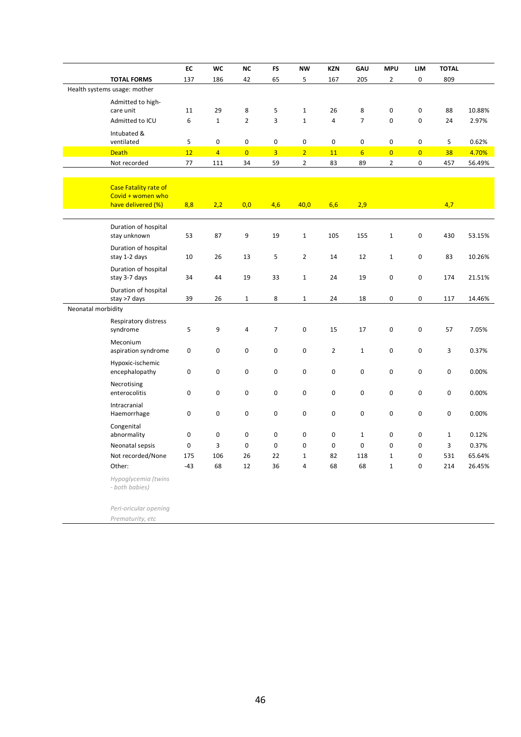|                    |                                         | EC          | <b>WC</b>      | <b>NC</b>      | <b>FS</b>      | <b>NW</b>      | <b>KZN</b>     | GAU             | <b>MPU</b>     | LIM            | <b>TOTAL</b> |        |
|--------------------|-----------------------------------------|-------------|----------------|----------------|----------------|----------------|----------------|-----------------|----------------|----------------|--------------|--------|
|                    | <b>TOTAL FORMS</b>                      | 137         | 186            | 42             | 65             | 5              | 167            | 205             | $\overline{2}$ | 0              | 809          |        |
|                    | Health systems usage: mother            |             |                |                |                |                |                |                 |                |                |              |        |
|                    | Admitted to high-                       |             |                |                |                |                |                |                 |                |                |              |        |
|                    | care unit                               | 11          | 29             | 8              | 5              | $\mathbf{1}$   | 26             | 8               | $\mathbf 0$    | 0              | 88           | 10.88% |
|                    | Admitted to ICU                         | 6           | $\mathbf 1$    | $\overline{2}$ | 3              | $\mathbf 1$    | $\overline{4}$ | $\overline{7}$  | $\pmb{0}$      | $\mathbf 0$    | 24           | 2.97%  |
|                    | Intubated &                             |             |                |                |                |                |                |                 |                |                |              |        |
|                    | ventilated                              | 5           | 0              | 0              | 0              | $\pmb{0}$      | 0              | $\pmb{0}$       | 0              | 0              | 5            | 0.62%  |
|                    | <b>Death</b>                            | 12          | $\overline{4}$ | $\overline{0}$ | $\overline{3}$ | $\overline{2}$ | 11             | $6\overline{6}$ | $\overline{0}$ | $\overline{0}$ | 38           | 4.70%  |
|                    | Not recorded                            | 77          | 111            | 34             | 59             | $\overline{2}$ | 83             | 89              | $\overline{2}$ | 0              | 457          | 56.49% |
|                    |                                         |             |                |                |                |                |                |                 |                |                |              |        |
|                    | <b>Case Fatality rate of</b>            |             |                |                |                |                |                |                 |                |                |              |        |
|                    | Covid + women who<br>have delivered (%) | 8,8         | 2,2            | 0,0            | 4,6            | 40,0           | 6,6            | 2,9             |                |                | 4,7          |        |
|                    |                                         |             |                |                |                |                |                |                 |                |                |              |        |
|                    | Duration of hospital                    |             |                |                |                |                |                |                 |                |                |              |        |
|                    | stay unknown                            | 53          | 87             | 9              | 19             | $\mathbf{1}$   | 105            | 155             | $\mathbf{1}$   | $\mathbf 0$    | 430          | 53.15% |
|                    | Duration of hospital                    |             |                |                |                |                |                |                 |                |                |              |        |
|                    | stay 1-2 days                           | 10          | 26             | 13             | 5              | $\overline{2}$ | 14             | 12              | $\mathbf{1}$   | 0              | 83           | 10.26% |
|                    | Duration of hospital                    |             |                |                |                |                |                |                 |                |                |              |        |
|                    | stay 3-7 days                           | 34          | 44             | 19             | 33             | $\mathbf{1}$   | 24             | 19              | 0              | 0              | 174          | 21.51% |
|                    | Duration of hospital                    |             |                |                |                |                |                |                 |                |                |              |        |
|                    | stay >7 days                            | 39          | 26             | $\mathbf{1}$   | 8              | $\mathbf 1$    | 24             | 18              | 0              | 0              | 117          | 14.46% |
| Neonatal morbidity |                                         |             |                |                |                |                |                |                 |                |                |              |        |
|                    | Respiratory distress                    |             |                |                |                |                |                |                 |                |                |              |        |
|                    | syndrome                                | 5           | 9              | $\overline{4}$ | $\overline{7}$ | 0              | 15             | 17              | 0              | 0              | 57           | 7.05%  |
|                    | Meconium                                |             |                |                |                |                |                |                 |                |                |              |        |
|                    | aspiration syndrome                     | 0           | 0              | 0              | $\mathsf 0$    | 0              | $\overline{2}$ | $\mathbf{1}$    | 0              | 0              | 3            | 0.37%  |
|                    | Hypoxic-ischemic                        |             |                |                |                |                |                |                 |                |                |              |        |
|                    | encephalopathy                          | 0           | $\mathbf 0$    | $\pmb{0}$      | $\mathbf 0$    | $\pmb{0}$      | $\mathbf 0$    | $\pmb{0}$       | 0              | 0              | 0            | 0.00%  |
|                    | Necrotising                             |             |                |                |                |                |                |                 |                |                |              |        |
|                    | enterocolitis                           | $\mathbf 0$ | $\mathbf 0$    | $\mathbf 0$    | $\mathbf 0$    | $\mathbf 0$    | $\mathbf 0$    | $\mathbf 0$     | $\mathbf 0$    | $\mathbf 0$    | $\mathbf 0$  | 0.00%  |
|                    | Intracranial                            |             |                |                |                |                |                |                 |                |                |              |        |
|                    | Haemorrhage                             | 0           | 0              | 0              | 0              | 0              | 0              | $\pmb{0}$       | 0              | 0              | 0            | 0.00%  |
|                    | Congenital                              |             |                |                |                |                |                |                 |                |                |              |        |
|                    | abnormality                             | 0           | $\pmb{0}$      | $\pmb{0}$      | $\mathbf 0$    | $\pmb{0}$      | 0              | $\mathbf 1$     | 0              | 0              | $\mathbf 1$  | 0.12%  |
|                    | Neonatal sepsis                         | $\mathbf 0$ | 3              | $\pmb{0}$      | $\mathbf 0$    | $\mathbf 0$    | 0              | $\mathbf 0$     | $\mathbf 0$    | 0              | 3            | 0.37%  |
|                    | Not recorded/None                       | 175         | 106            | 26             | 22             | $\mathbf{1}$   | 82             | 118             | $\mathbf 1$    | 0              | 531          | 65.64% |
|                    | Other:                                  | $-43$       | 68             | 12             | 36             | $\overline{4}$ | 68             | 68              | $\mathbf{1}$   | $\mathbf 0$    | 214          | 26.45% |
|                    | Hypoglycemia (twins                     |             |                |                |                |                |                |                 |                |                |              |        |
|                    | - both babies)                          |             |                |                |                |                |                |                 |                |                |              |        |

*Peri-oricular opening*

*Prematurity, etc*